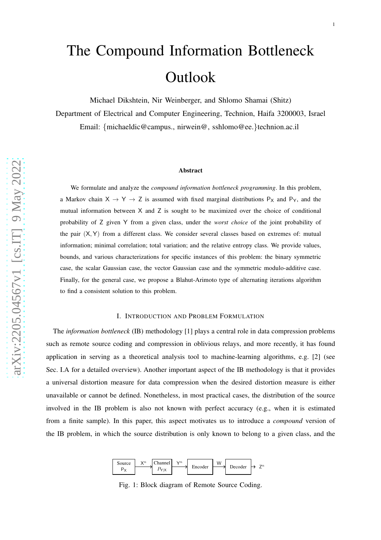# The Compound Information Bottleneck **Outlook**

Michael Dikshtein, Nir Weinberger, and Shlomo Shamai (Shitz) Department of Electrical and Computer Engineering, Technion, Haifa 3200003, Israel Email: {michaeldic@campus., nirwein@, sshlomo@ee. }technion.ac.il

#### Abstract

We formulate and analyze the *compound information bottleneck programming*. In this problem, a Markov chain  $X \to Y \to Z$  is assumed with fixed marginal distributions  $P_X$  and  $P_Y$ , and the mutual information between X and Z is sought to be maximized over the choice of conditional probability of Z given Y from a given class, under the *worst choice* of the joint probability of the pair (X, Y) from a different class. We consider several classes based on extremes of: mutual information; minimal correlation; total variation; and the relative entropy class. We provide values, bounds, and various characterizations for specific instances of this problem: the binary symmetric case, the scalar Gaussian case, the vector Gaussian case and the symmetric modulo-additive case. Finally, for the general case, we propose a Blahut-Arimoto type of alternating iterations algorithm to find a consistent solution to this problem.

#### I. INTRODUCTION AND PROBLEM FORMULATION

The *information bottleneck* (IB) methodology [1] plays a central role in data compression problems such as remote source coding and compression in oblivious relays, and more recently, it has found application in serving as a theoretical analysis tool to machine-learning algorithms, e.g. [2] (see Sec. I.A for a detailed overview). Another important aspect of the IB methodology is that it provides a universal distortion measure for data compression when the desired distortion measure is either unavailable or cannot be defined. Nonetheless, in most practical cases, the distribution of the source involved in the IB problem is also not known with perfect accuracy (e.g., when it is estimated from a finite sample). In this paper, this aspect motivates us to introduce a *compound* version of the IB problem, in which the source distribution is only known to belong to a given class, and the



Fig. 1: Block diagram of Remote Source Coding.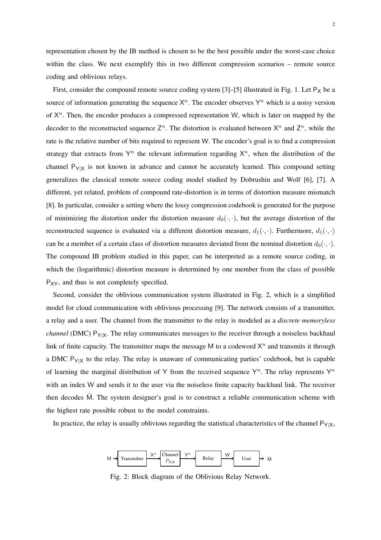representation chosen by the IB method is chosen to be the best possible under the worst-case choice within the class. We next exemplify this in two different compression scenarios – remote source coding and oblivious relays.

First, consider the compound remote source coding system [3]–[5] illustrated in Fig. 1. Let  $P_X$  be a source of information generating the sequence  $X<sup>n</sup>$ . The encoder observes  $Y<sup>n</sup>$  which is a noisy version of  $X^n$ . Then, the encoder produces a compressed representation W, which is later on mapped by the decoder to the reconstructed sequence  $\mathsf{Z}^n$ . The distortion is evaluated between  $\mathsf{X}^n$  and  $\mathsf{Z}^n$ , while the rate is the relative number of bits required to represent W. The encoder's goal is to find a compression strategy that extracts from  $Y^n$  the relevant information regarding  $X^n$ , when the distribution of the channel  $P_{Y|X}$  is not known in advance and cannot be accurately learned. This compound setting generalizes the classical remote source coding model studied by Dobrushin and Wolf [6], [7]. A different, yet related, problem of compound rate-distortion is in terms of distortion measure mismatch [8]. In particular, consider a setting where the lossy compression codebook is generated for the purpose of minimizing the distortion under the distortion measure  $d_0(\cdot, \cdot)$ , but the average distortion of the reconstructed sequence is evaluated via a different distortion measure,  $d_1(\cdot, \cdot)$ . Furthermore,  $d_1(\cdot, \cdot)$ can be a member of a certain class of distortion measures deviated from the nominal distortion  $d_0(\cdot, \cdot)$ . The compound IB problem studied in this paper, can be interpreted as a remote source coding, in which the (logarithmic) distortion measure is determined by one member from the class of possible  $P_{XY}$ , and thus is not completely specified.

Second, consider the oblivious communication system illustrated in Fig. 2, which is a simplified model for cloud communication with oblivious processing [9]. The network consists of a transmitter, a relay and a user. The channel from the transmitter to the relay is modeled as a *discrete memoryless channel* (DMC) P<sub>Y|X</sub>. The relay communicates messages to the receiver through a noiseless backhaul link of finite capacity. The transmitter maps the message M to a codeword  $X<sup>n</sup>$  and transmits it through a DMC  $P_{Y|X}$  to the relay. The relay is unaware of communicating parties' codebook, but is capable of learning the marginal distribution of Y from the received sequence  $Y^n$ . The relay represents  $Y^n$ with an index W and sends it to the user via the noiseless finite capacity backhaul link. The receiver then decodes  $\hat{M}$ . The system designer's goal is to construct a reliable communication scheme with the highest rate possible robust to the model constraints.

In practice, the relay is usually oblivious regarding the statistical characteristics of the channel  $P_{Y|X}$ ,



Fig. 2: Block diagram of the Oblivious Relay Network.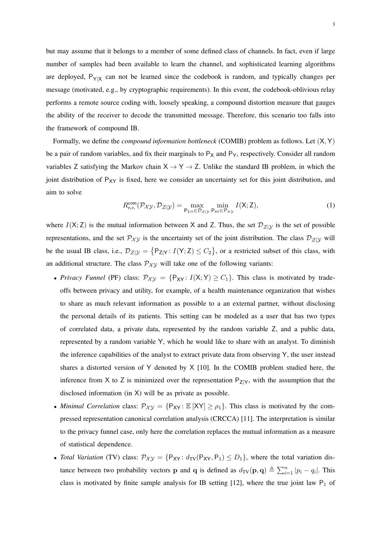but may assume that it belongs to a member of some defined class of channels. In fact, even if large number of samples had been available to learn the channel, and sophisticated learning algorithms are deployed,  $P_{Y|X}$  can not be learned since the codebook is random, and typically changes per message (motivated, e.g., by cryptographic requirements). In this event, the codebook-oblivious relay performs a remote source coding with, loosely speaking, a compound distortion measure that gauges the ability of the receiver to decode the transmitted message. Therefore, this scenario too falls into the framework of compound IB.

Formally, we define the *compound information bottleneck* (COMIB) problem as follows. Let (X,Y) be a pair of random variables, and fix their marginals to  $P_X$  and  $P_Y$ , respectively. Consider all random variables Z satisfying the Markov chain  $X \rightarrow Y \rightarrow Z$ . Unlike the standard IB problem, in which the joint distribution of  $P_{XY}$  is fixed, here we consider an uncertainty set for this joint distribution, and aim to solve

$$
R_{P_{\mathcal{X}P_{\mathcal{Y}}}}^{\text{com}}(\mathcal{P}_{\mathcal{X}\mathcal{Y}}, \mathcal{D}_{\mathcal{Z}|\mathcal{Y}}) = \max_{P_{Z|Y} \in \mathcal{D}_{\mathcal{Z}|\mathcal{Y}}} \min_{P_{XY} \in \mathcal{P}_{\mathcal{X}\mathcal{Y}}} I(X; Z), \tag{1}
$$

where  $I(X; Z)$  is the mutual information between X and Z. Thus, the set  $\mathcal{D}_{Z|Y}$  is the set of possible representations, and the set  $\mathcal{P}_{XY}$  is the uncertainty set of the joint distribution. The class  $\mathcal{D}_{Z|Y}$  will be the usual IB class, i.e.,  $\mathcal{D}_{\mathcal{Z}|\mathcal{Y}} = \{P_{Z|Y} : I(Y; Z) \leq C_2\}$ , or a restricted subset of this class, with an additional structure. The class  $\mathcal{P}_{XY}$  will take one of the following variants:

- *Privacy Funnel* (PF) class:  $\mathcal{P}_{\mathcal{XY}} = \{P_{XY}: I(X;Y) \ge C_1\}$ . This class is motivated by tradeoffs between privacy and utility, for example, of a health maintenance organization that wishes to share as much relevant information as possible to a an external partner, without disclosing the personal details of its patients. This setting can be modeled as a user that has two types of correlated data, a private data, represented by the random variable Z, and a public data, represented by a random variable Y, which he would like to share with an analyst. To diminish the inference capabilities of the analyst to extract private data from observing Y, the user instead shares a distorted version of Y denoted by X [10]. In the COMIB problem studied here, the inference from X to Z is minimized over the representation  $P_{Z|Y}$ , with the assumption that the disclosed information (in X) will be as private as possible.
- *Minimal Correlation* class:  $\mathcal{P}_{\chi} = \{P_{XY} : \mathbb{E}[XY] \ge \rho_1\}$ . This class is motivated by the compressed representation canonical correlation analysis (CRCCA) [11]. The interpretation is similar to the privacy funnel case, only here the correlation replaces the mutual information as a measure of statistical dependence.
- *Total Variation* (TV) class:  $\mathcal{P}_{\mathcal{XY}} = \{P_{XY}: d_{TV}(P_{XY}, P_1) \leq D_1\}$ , where the total variation distance between two probability vectors **p** and **q** is defined as  $d_{TV}(\mathbf{p}, \mathbf{q}) \triangleq \sum_{i=1}^{n} |p_i - q_i|$ . This class is motivated by finite sample analysis for IB setting [12], where the true joint law  $P_1$  of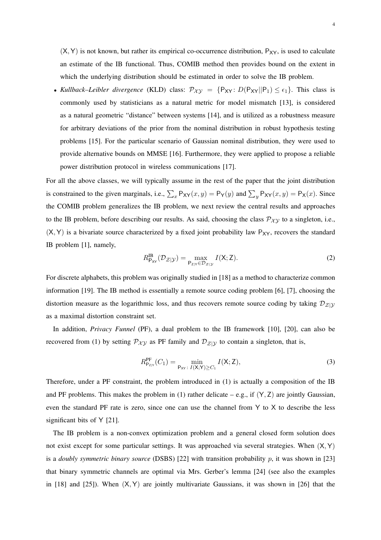$(X, Y)$  is not known, but rather its empirical co-occurrence distribution,  $P_{XY}$ , is used to calculate an estimate of the IB functional. Thus, COMIB method then provides bound on the extent in which the underlying distribution should be estimated in order to solve the IB problem.

• *Kullback–Leibler divergence* (KLD) class:  $\mathcal{P}_{\mathcal{XY}} = \{P_{XY} : D(P_{XY} || P_1) \le \epsilon_1\}$ . This class is commonly used by statisticians as a natural metric for model mismatch [13], is considered as a natural geometric "distance" between systems [14], and is utilized as a robustness measure for arbitrary deviations of the prior from the nominal distribution in robust hypothesis testing problems [15]. For the particular scenario of Gaussian nominal distribution, they were used to provide alternative bounds on MMSE [16]. Furthermore, they were applied to propose a reliable power distribution protocol in wireless communications [17].

For all the above classes, we will typically assume in the rest of the paper that the joint distribution is constrained to the given marginals, i.e.,  $\sum_{x} P_{XY}(x, y) = P_{Y}(y)$  and  $\sum_{y} P_{XY}(x, y) = P_{X}(x)$ . Since the COMIB problem generalizes the IB problem, we next review the central results and approaches to the IB problem, before describing our results. As said, choosing the class  $\mathcal{P}_{\chi\chi}$  to a singleton, i.e.,  $(X, Y)$  is a bivariate source characterized by a fixed joint probability law  $P_{XY}$ , recovers the standard IB problem [1], namely,

$$
R_{\mathsf{P}_{XY}}^{\mathbf{IB}}(\mathcal{D}_{\mathcal{Z}|\mathcal{Y}}) = \max_{\mathsf{P}_{\mathsf{Z}|Y} \in \mathcal{D}_{\mathcal{Z}|\mathcal{Y}}} I(\mathsf{X}; \mathsf{Z}).\tag{2}
$$

For discrete alphabets, this problem was originally studied in [18] as a method to characterize common information [19]. The IB method is essentially a remote source coding problem [6], [7], choosing the distortion measure as the logarithmic loss, and thus recovers remote source coding by taking  $\mathcal{D}_{\mathcal{Z}|\mathcal{Y}}$ as a maximal distortion constraint set.

In addition, *Privacy Funnel* (PF), a dual problem to the IB framework [10], [20], can also be recovered from (1) by setting  $P_{\chi y}$  as PF family and  $D_{\chi y}$  to contain a singleton, that is,

$$
R_{\mathsf{P}_{\mathsf{Z}|\mathsf{Y}}}^{\mathsf{PF}}(C_1) = \min_{\mathsf{P}_{\mathsf{XY}} \colon I(\mathsf{X}; \mathsf{Y}) \ge C_1} I(\mathsf{X}; \mathsf{Z}),\tag{3}
$$

Therefore, under a PF constraint, the problem introduced in (1) is actually a composition of the IB and PF problems. This makes the problem in (1) rather delicate – e.g., if  $(Y, Z)$  are jointly Gaussian, even the standard PF rate is zero, since one can use the channel from Y to X to describe the less significant bits of Y [21].

The IB problem is a non-convex optimization problem and a general closed form solution does not exist except for some particular settings. It was approached via several strategies. When  $(X, Y)$ is a *doubly symmetric binary source* (DSBS) [22] with transition probability p, it was shown in [23] that binary symmetric channels are optimal via Mrs. Gerber's lemma [24] (see also the examples in  $[18]$  and  $[25]$ ). When  $(X, Y)$  are jointly multivariate Gaussians, it was shown in  $[26]$  that the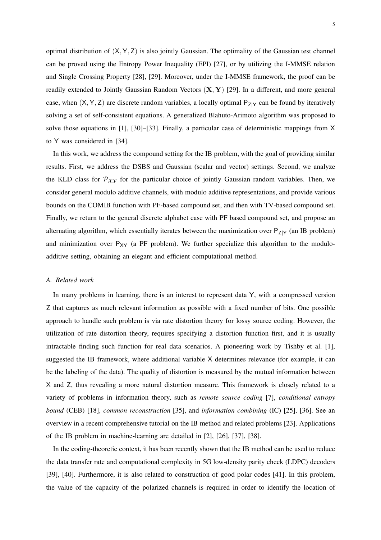optimal distribution of  $(X, Y, Z)$  is also jointly Gaussian. The optimality of the Gaussian test channel can be proved using the Entropy Power Inequality (EPI) [27], or by utilizing the I-MMSE relation and Single Crossing Property [28], [29]. Moreover, under the I-MMSE framework, the proof can be readily extended to Jointly Gaussian Random Vectors  $(X, Y)$  [29]. In a different, and more general case, when  $(X, Y, Z)$  are discrete random variables, a locally optimal  $P_{Z|Y}$  can be found by iteratively solving a set of self-consistent equations. A generalized Blahuto-Arimoto algorithm was proposed to solve those equations in [1], [30]–[33]. Finally, a particular case of deterministic mappings from X to Y was considered in [34].

In this work, we address the compound setting for the IB problem, with the goal of providing similar results. First, we address the DSBS and Gaussian (scalar and vector) settings. Second, we analyze the KLD class for  $\mathcal{P}_{XY}$  for the particular choice of jointly Gaussian random variables. Then, we consider general modulo additive channels, with modulo additive representations, and provide various bounds on the COMIB function with PF-based compound set, and then with TV-based compound set. Finally, we return to the general discrete alphabet case with PF based compound set, and propose an alternating algorithm, which essentially iterates between the maximization over  $P_{Z|Y}$  (an IB problem) and minimization over  $P_{XY}$  (a PF problem). We further specialize this algorithm to the moduloadditive setting, obtaining an elegant and efficient computational method.

#### *A. Related work*

In many problems in learning, there is an interest to represent data Y, with a compressed version Z that captures as much relevant information as possible with a fixed number of bits. One possible approach to handle such problem is via rate distortion theory for lossy source coding. However, the utilization of rate distortion theory, requires specifying a distortion function first, and it is usually intractable finding such function for real data scenarios. A pioneering work by Tishby et al. [1], suggested the IB framework, where additional variable X determines relevance (for example, it can be the labeling of the data). The quality of distortion is measured by the mutual information between X and Z, thus revealing a more natural distortion measure. This framework is closely related to a variety of problems in information theory, such as *remote source coding* [7], *conditional entropy bound* (CEB) [18], *common reconstruction* [35], and *information combining* (IC) [25], [36]. See an overview in a recent comprehensive tutorial on the IB method and related problems [23]. Applications of the IB problem in machine-learning are detailed in [2], [26], [37], [38].

In the coding-theoretic context, it has been recently shown that the IB method can be used to reduce the data transfer rate and computational complexity in 5G low-density parity check (LDPC) decoders [39], [40]. Furthermore, it is also related to construction of good polar codes [41]. In this problem, the value of the capacity of the polarized channels is required in order to identify the location of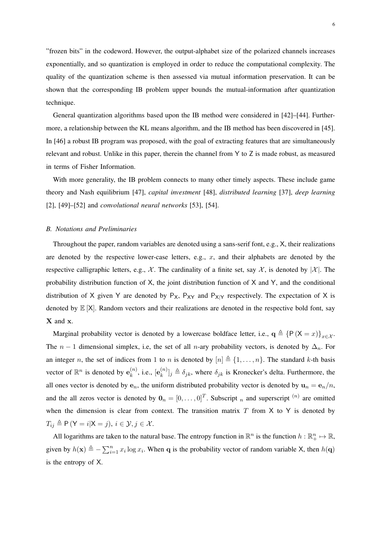"frozen bits" in the codeword. However, the output-alphabet size of the polarized channels increases exponentially, and so quantization is employed in order to reduce the computational complexity. The quality of the quantization scheme is then assessed via mutual information preservation. It can be shown that the corresponding IB problem upper bounds the mutual-information after quantization technique.

General quantization algorithms based upon the IB method were considered in [42]–[44]. Furthermore, a relationship between the KL means algorithm, and the IB method has been discovered in [45]. In [46] a robust IB program was proposed, with the goal of extracting features that are simultaneously relevant and robust. Unlike in this paper, therein the channel from Y to Z is made robust, as measured in terms of Fisher Information.

With more generality, the IB problem connects to many other timely aspects. These include game theory and Nash equilibrium [47], *capital investment* [48], *distributed learning* [37], *deep learning* [2], [49]–[52] and *convolutional neural networks* [53], [54].

#### *B. Notations and Preliminaries*

Throughout the paper, random variables are denoted using a sans-serif font, e.g., X, their realizations are denoted by the respective lower-case letters, e.g.,  $x$ , and their alphabets are denoted by the respective calligraphic letters, e.g.,  $\mathcal{X}$ . The cardinality of a finite set, say  $\mathcal{X}$ , is denoted by  $|\mathcal{X}|$ . The probability distribution function of X, the joint distribution function of X and Y, and the conditional distribution of X given Y are denoted by  $P_X$ ,  $P_{XY}$  and  $P_{X|Y}$  respectively. The expectation of X is denoted by  $\mathbb{E}[X]$ . Random vectors and their realizations are denoted in the respective bold font, say X and x.

Marginal probability vector is denoted by a lowercase boldface letter, i.e.,  $q \triangleq {P(X = x)}_{x \in \mathcal{X}}$ . The  $n-1$  dimensional simplex, i.e, the set of all n-ary probability vectors, is denoted by  $\Delta_n$ . For an integer n, the set of indices from 1 to n is denoted by  $[n] \triangleq \{1, \ldots, n\}$ . The standard k-th basis vector of  $\mathbb{R}^n$  is denoted by  $e_k^{(n)}$  $\binom{n}{k}$ , i.e.,  $\left[\mathbf{e}_k^{(n)}\right]$  ${k \choose k}$   $j \triangleq \delta_{jk}$ , where  $\delta_{jk}$  is Kronecker's delta. Furthermore, the all ones vector is denoted by  $e_n$ , the uniform distributed probability vector is denoted by  $u_n = e_n/n$ , and the all zeros vector is denoted by  $\mathbf{0}_n = [0, \dots, 0]^T$ . Subscript n and superscript  $^{(n)}$  are omitted when the dimension is clear from context. The transition matrix  $T$  from  $X$  to  $Y$  is denoted by  $T_{ij} \triangleq P(Y = i|X = j), i \in \mathcal{Y}, j \in \mathcal{X}$ .

All logarithms are taken to the natural base. The entropy function in  $\mathbb{R}^n$  is the function  $h : \mathbb{R}^n_+ \mapsto \mathbb{R}$ , given by  $h(\mathbf{x}) \triangleq -\sum_{i=1}^{n} x_i \log x_i$ . When q is the probability vector of random variable X, then  $h(\mathbf{q})$ is the entropy of X.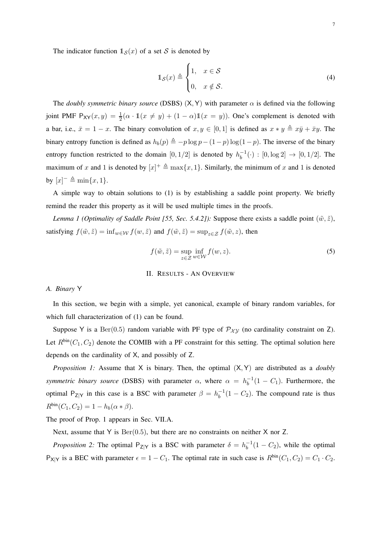The indicator function  $\mathbb{1}_{S}(x)$  of a set S is denoted by

$$
\mathbb{1}_{\mathcal{S}}(x) \triangleq \begin{cases} 1, & x \in \mathcal{S} \\ 0, & x \notin \mathcal{S}. \end{cases}
$$
 (4)

The *doubly symmetric binary source* (DSBS)  $(X, Y)$  with parameter  $\alpha$  is defined via the following joint PMF  $P_{XY}(x,y) = \frac{1}{2}(\alpha \cdot \mathbb{1}(x \neq y) + (1 - \alpha)\mathbb{1}(x = y))$ . One's complement is denoted with a bar, i.e.,  $\bar{x} = 1 - x$ . The binary convolution of  $x, y \in [0, 1]$  is defined as  $x * y \triangleq x\bar{y} + \bar{x}y$ . The binary entropy function is defined as  $h_b(p) \triangleq -p \log p - (1-p) \log(1-p)$ . The inverse of the binary entropy function restricted to the domain  $[0, 1/2]$  is denoted by  $h_h^{-1}$  $_{b}^{-1}(\cdot) : [0, \log 2] \rightarrow [0, 1/2]$ . The maximum of x and 1 is denoted by  $[x]^+ \triangleq \max\{x, 1\}$ . Similarly, the minimum of x and 1 is denoted by  $[x]^- \triangleq \min\{x, 1\}.$ 

A simple way to obtain solutions to (1) is by establishing a saddle point property. We briefly remind the reader this property as it will be used multiple times in the proofs.

*Lemma 1 (Optimality of Saddle Point [55, Sec. 5.4.2]):* Suppose there exists a saddle point  $(\tilde{w}, \tilde{z})$ , satisfying  $f(\tilde{w}, \tilde{z}) = \inf_{w \in \mathcal{W}} f(w, \tilde{z})$  and  $f(\tilde{w}, \tilde{z}) = \sup_{z \in \mathcal{Z}} f(\tilde{w}, z)$ , then

$$
f(\tilde{w}, \tilde{z}) = \sup_{z \in \mathcal{Z}} \inf_{w \in \mathcal{W}} f(w, z).
$$
 (5)

#### II. RESULTS - AN OVERVIEW

## *A. Binary* Y

In this section, we begin with a simple, yet canonical, example of binary random variables, for which full characterization of (1) can be found.

Suppose Y is a Ber(0.5) random variable with PF type of  $\mathcal{P}_{\mathcal{XY}}$  (no cardinality constraint on Z). Let  $R^{\text{bin}}(C_1, C_2)$  denote the COMIB with a PF constraint for this setting. The optimal solution here depends on the cardinality of X, and possibly of Z.

*Proposition 1:* Assume that X is binary. Then, the optimal (X,Y) are distributed as a *doubly symmetric binary source* (DSBS) with parameter  $\alpha$ , where  $\alpha = h_h^{-1}$  $b^{-1}(1 - C_1)$ . Furthermore, the optimal  $P_{Z|Y}$  in this case is a BSC with parameter  $\beta = h_b^{-1}$  $b^{-1}(1 - C_2)$ . The compound rate is thus  $R^{\text{bin}}(C_1, C_2) = 1 - h_b(\alpha * \beta).$ 

The proof of Prop. 1 appears in Sec. VII.A.

Next, assume that  $Y$  is  $Ber(0.5)$ , but there are no constraints on neither  $X$  nor  $Z$ .

*Proposition 2:* The optimal  $P_{Z|Y}$  is a BSC with parameter  $\delta = h_b^{-1}$  $b^{-1}(1 - C_2)$ , while the optimal  $P_{X|Y}$  is a BEC with parameter  $\epsilon = 1 - C_1$ . The optimal rate in such case is  $R^{\text{bin}}(C_1, C_2) = C_1 \cdot C_2$ .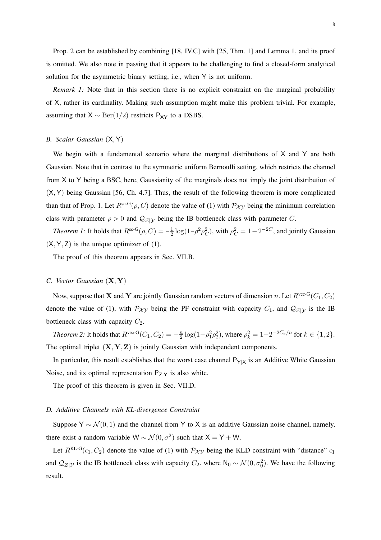Prop. 2 can be established by combining [18, IV.C] with [25, Thm. 1] and Lemma 1, and its proof is omitted. We also note in passing that it appears to be challenging to find a closed-form analytical solution for the asymmetric binary setting, i.e., when Y is not uniform.

*Remark 1:* Note that in this section there is no explicit constraint on the marginal probability of X, rather its cardinality. Making such assumption might make this problem trivial. For example, assuming that  $X \sim \text{Ber}(1/2)$  restricts P<sub>XY</sub> to a DSBS.

### *B. Scalar Gaussian* (X,Y)

We begin with a fundamental scenario where the marginal distributions of X and Y are both Gaussian. Note that in contrast to the symmetric uniform Bernoulli setting, which restricts the channel from X to Y being a BSC, here, Gaussianity of the marginals does not imply the joint distribution of (X,Y) being Gaussian [56, Ch. 4.7]. Thus, the result of the following theorem is more complicated than that of Prop. 1. Let  $R^{sc-G}(\rho, C)$  denote the value of (1) with  $P_{\mathcal{XY}}$  being the minimum correlation class with parameter  $\rho > 0$  and  $\mathcal{Q}_{\mathcal{Z}|\mathcal{Y}}$  being the IB bottleneck class with parameter C.

*Theorem 1:* It holds that  $R^{sc-G}(\rho, C) = -\frac{1}{2} \log(1-\rho^2\rho_C^2)$ , with  $\rho_C^2 = 1-2^{-2C}$ , and jointly Gaussian  $(X, Y, Z)$  is the unique optimizer of (1).

The proof of this theorem appears in Sec. VII.B.

#### *C. Vector Gaussian* (X, Y)

Now, suppose that **X** and **Y** are jointly Gaussian random vectors of dimension n. Let  $R^{\text{vec-G}}(C_1, C_2)$ denote the value of (1), with  $P_{\chi y}$  being the PF constraint with capacity  $C_1$ , and  $Q_{\chi}$  is the IB bottleneck class with capacity  $C_2$ .

*Theorem 2:* It holds that  $R^{\text{vec-G}}(C_1, C_2) = -\frac{n}{2}$  $\frac{n}{2} \log(1 - \rho_1^2 \rho_2^2)$ , where  $\rho_k^2 = 1 - 2^{-2C_k/n}$  for  $k \in \{1, 2\}$ . The optimal triplet  $(X, Y, Z)$  is jointly Gaussian with independent components.

In particular, this result establishes that the worst case channel  $P_{Y|X}$  is an Additive White Gaussian Noise, and its optimal representation  $P_{Z|Y}$  is also white.

The proof of this theorem is given in Sec. VII.D.

#### *D. Additive Channels with KL-divergence Constraint*

Suppose Y ~  $\mathcal{N}(0, 1)$  and the channel from Y to X is an additive Gaussian noise channel, namely, there exist a random variable  $W \sim \mathcal{N}(0, \sigma^2)$  such that  $X = Y + W$ .

Let  $R^{KL-G}(\epsilon_1, C_2)$  denote the value of (1) with  $\mathcal{P}_{\mathcal{XY}}$  being the KLD constraint with "distance"  $\epsilon_1$ and  $\mathcal{Q}_{\mathcal{Z}|\mathcal{Y}}$  is the IB bottleneck class with capacity  $C_2$ . where  $\mathsf{N}_0 \sim \mathcal{N}(0, \sigma_0^2)$ . We have the following result.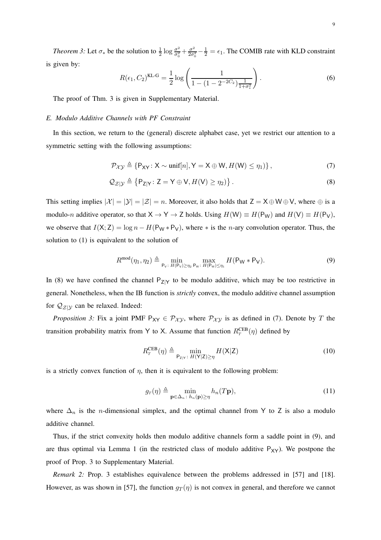*Theorem 3:* Let  $\sigma_*$  be the solution to  $\frac{1}{2} \log \frac{\sigma^2}{\sigma_0^2}$  $\frac{\sigma^2}{\sigma_0^2} + \frac{\sigma^2}{2\sigma_0^2}$  $\frac{\sigma^2}{2\sigma_0^2} - \frac{1}{2} = \epsilon_1$ . The COMIB rate with KLD constraint is given by:

$$
R(\epsilon_1, C_2)^{\text{KL-G}} = \frac{1}{2} \log \left( \frac{1}{1 - (1 - 2^{-2C_2}) \frac{1}{1 + \sigma_*^2}} \right).
$$
 (6)

The proof of Thm. 3 is given in Supplementary Material.

#### *E. Modulo Additive Channels with PF Constraint*

In this section, we return to the (general) discrete alphabet case, yet we restrict our attention to a symmetric setting with the following assumptions:

$$
\mathcal{P}_{\mathcal{X}\mathcal{Y}} \triangleq \{P_{XY}: X \sim \text{unif}[n], Y = X \oplus W, H(W) \leq \eta_1) \},\tag{7}
$$

$$
\mathcal{Q}_{\mathcal{Z}|\mathcal{Y}} \triangleq \{P_{Z|Y}: Z = Y \oplus V, H(V) \ge \eta_2)\}.
$$
\n(8)

This setting implies  $|\mathcal{X}| = |\mathcal{Y}| = |\mathcal{Z}| = n$ . Moreover, it also holds that  $Z = X \oplus W \oplus V$ , where  $\oplus$  is a modulo-n additive operator, so that  $X \to Y \to Z$  holds. Using  $H(W) \equiv H(P_W)$  and  $H(V) \equiv H(P_V)$ , we observe that  $I(X; Z) = \log n - H(P_W * P_V)$ , where  $*$  is the *n*-ary convolution operator. Thus, the solution to (1) is equivalent to the solution of

$$
R^{\text{mod}}(\eta_1, \eta_2) \triangleq \min_{\mathsf{P}_{\text{V}}:\ H(\mathsf{P}_{\text{V}}) \geq \eta_2} \max_{\mathsf{P}_{\text{W}}:\ H(\mathsf{P}_{\text{W}}) \leq \eta_1} H(\mathsf{P}_{\text{W}} * \mathsf{P}_{\text{V}}).
$$
(9)

In (8) we have confined the channel  $P_{Z|Y}$  to be modulo additive, which may be too restrictive in general. Nonetheless, when the IB function is *strictly* convex, the modulo additive channel assumption for  $\mathcal{Q}_{\mathcal{Z}|\mathcal{Y}}$  can be relaxed. Indeed:

*Proposition 3:* Fix a joint PMF  $P_{XY} \in P_{XY}$ , where  $P_{XY}$  is as defined in (7). Denote by T the transition probability matrix from Y to X. Assume that function  $R_T^{\text{CEB}}(\eta)$  defined by

$$
R_T^{\text{CEB}}(\eta) \triangleq \min_{\mathsf{P}_{\mathsf{Z}|\mathsf{Y}}:\ H(\mathsf{Y}|\mathsf{Z}) \geq \eta} H(\mathsf{X}|\mathsf{Z})\tag{10}
$$

is a strictly convex function of  $\eta$ , then it is equivalent to the following problem:

$$
g_T(\eta) \triangleq \min_{\mathbf{p} \in \Delta_n \colon h_n(\mathbf{p}) \geq \eta} h_n(T\mathbf{p}), \tag{11}
$$

where  $\Delta_n$  is the *n*-dimensional simplex, and the optimal channel from Y to Z is also a modulo additive channel.

Thus, if the strict convexity holds then modulo additive channels form a saddle point in (9), and are thus optimal via Lemma 1 (in the restricted class of modulo additive  $P_{XY}$ ). We postpone the proof of Prop. 3 to Supplementary Material.

*Remark 2:* Prop. 3 establishes equivalence between the problems addressed in [57] and [18]. However, as was shown in [57], the function  $g_T(\eta)$  is not convex in general, and therefore we cannot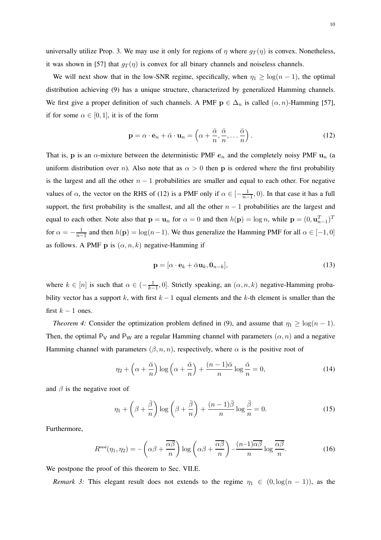universally utilize Prop. 3. We may use it only for regions of  $\eta$  where  $g_T(\eta)$  is convex. Nonetheless, it was shown in [57] that  $g_T(\eta)$  is convex for all binary channels and noiseless channels.

We will next show that in the low-SNR regime, specifically, when  $\eta_1 \geq \log(n-1)$ , the optimal distribution achieving (9) has a unique structure, characterized by generalized Hamming channels. We first give a proper definition of such channels. A PMF  $p \in \Delta_n$  is called  $(\alpha, n)$ -Hamming [57], if for some  $\alpha \in [0, 1]$ , it is of the form

$$
\mathbf{p} = \alpha \cdot \mathbf{e}_n + \bar{\alpha} \cdot \mathbf{u}_n = \left(\alpha + \frac{\bar{\alpha}}{n}, \frac{\bar{\alpha}}{n}, \dots, \frac{\bar{\alpha}}{n}\right). \tag{12}
$$

That is, **p** is an  $\alpha$ -mixture between the deterministic PMF  $e_n$  and the completely noisy PMF  $u_n$  (a uniform distribution over n). Also note that as  $\alpha > 0$  then **p** is ordered where the first probability is the largest and all the other  $n - 1$  probabilities are smaller and equal to each other. For negative values of  $\alpha$ , the vector on the RHS of (12) is a PMF only if  $\alpha \in \left[-\frac{1}{n-1}\right]$  $\frac{1}{n-1}$ , 0). In that case it has a full support, the first probability is the smallest, and all the other  $n - 1$  probabilities are the largest and equal to each other. Note also that  $p = u_n$  for  $\alpha = 0$  and then  $h(p) = \log n$ , while  $p = (0, u_{n-1}^T)^T$ for  $\alpha = -\frac{1}{n-1}$  $\frac{1}{n-1}$  and then  $h(\mathbf{p}) = \log(n-1)$ . We thus generalize the Hamming PMF for all  $\alpha \in [-1, 0]$ as follows. A PMF p is  $(\alpha, n, k)$  negative-Hamming if

$$
\mathbf{p} = [\alpha \cdot \mathbf{e}_k + \bar{\alpha} \mathbf{u}_k, \mathbf{0}_{n-k}], \tag{13}
$$

where  $k \in [n]$  is such that  $\alpha \in \left(-\frac{1}{k}\right]$  $\frac{1}{k-1}$ , 0]. Strictly speaking, an  $(\alpha, n, k)$  negative-Hamming probability vector has a support k, with first  $k - 1$  equal elements and the k-th element is smaller than the first  $k - 1$  ones.

*Theorem 4:* Consider the optimization problem defined in (9), and assume that  $\eta_1 \ge \log(n-1)$ . Then, the optimal P<sub>V</sub> and P<sub>W</sub> are a regular Hamming channel with parameters  $(\alpha, n)$  and a negative Hamming channel with parameters  $(\beta, n, n)$ , respectively, where  $\alpha$  is the positive root of

$$
\eta_2 + \left(\alpha + \frac{\bar{\alpha}}{n}\right) \log\left(\alpha + \frac{\bar{\alpha}}{n}\right) + \frac{(n-1)\bar{\alpha}}{n} \log\frac{\bar{\alpha}}{n} = 0,\tag{14}
$$

and  $\beta$  is the negative root of

$$
\eta_1 + \left(\beta + \frac{\bar{\beta}}{n}\right) \log \left(\beta + \frac{\bar{\beta}}{n}\right) + \frac{(n-1)\bar{\beta}}{n} \log \frac{\bar{\beta}}{n} = 0. \tag{15}
$$

Furthermore,

$$
R^{\text{mod}}(\eta_1, \eta_2) = -\left(\alpha\beta + \frac{\overline{\alpha\beta}}{n}\right) \log\left(\alpha\beta + \frac{\overline{\alpha\beta}}{n}\right) - \frac{(n-1)\overline{\alpha\beta}}{n} \log\frac{\overline{\alpha\beta}}{n}.\tag{16}
$$

We postpone the proof of this theorem to Sec. VII.E.

*Remark 3:* This elegant result does not extends to the regime  $\eta_1 \in (0, \log(n-1))$ , as the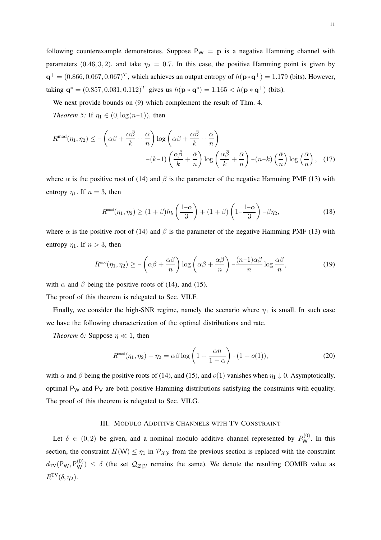following counterexample demonstrates. Suppose  $P_W = p$  is a negative Hamming channel with parameters (0.46, 3, 2), and take  $\eta_2 = 0.7$ . In this case, the positive Hamming point is given by  $\mathbf{q}^+ = (0.866, 0.067, 0.067)^T$ , which achieves an output entropy of  $h(\mathbf{p}*\mathbf{q}^+) = 1.179$  (bits). However, taking  $\mathbf{q}^* = (0.857, 0.031, 0.112)^T$  gives us  $h(\mathbf{p} * \mathbf{q}^*) = 1.165 < h(\mathbf{p} * \mathbf{q}^+)$  (bits).

We next provide bounds on (9) which complement the result of Thm. 4.

*Theorem 5:* If  $\eta_1 \in (0, \log(n-1))$ , then

$$
R^{\text{mod}}(\eta_1, \eta_2) \le -\left(\alpha \beta + \frac{\alpha \bar{\beta}}{k} + \frac{\bar{\alpha}}{n}\right) \log\left(\alpha \beta + \frac{\alpha \bar{\beta}}{k} + \frac{\bar{\alpha}}{n}\right) \log\left(\frac{\alpha \bar{\beta}}{k} + \frac{\bar{\alpha}}{n}\right) - (k-1)\left(\frac{\alpha \bar{\beta}}{k} + \frac{\bar{\alpha}}{n}\right) \log\left(\frac{\alpha \bar{\beta}}{k} + \frac{\bar{\alpha}}{n}\right) - (n-k)\left(\frac{\bar{\alpha}}{n}\right) \log\left(\frac{\bar{\alpha}}{n}\right), \quad (17)
$$

where  $\alpha$  is the positive root of (14) and  $\beta$  is the parameter of the negative Hamming PMF (13) with entropy  $\eta_1$ . If  $n = 3$ , then

$$
R^{\text{mod}}(\eta_1, \eta_2) \ge (1+\beta)h_b\left(\frac{1-\alpha}{3}\right) + (1+\beta)\left(1-\frac{1-\alpha}{3}\right)-\beta\eta_2,\tag{18}
$$

where  $\alpha$  is the positive root of (14) and  $\beta$  is the parameter of the negative Hamming PMF (13) with entropy  $\eta_1$ . If  $n > 3$ , then

$$
R^{\text{mod}}(\eta_1, \eta_2) \ge -\left(\alpha\beta + \frac{\overline{\alpha\beta}}{n}\right) \log\left(\alpha\beta + \frac{\overline{\alpha\beta}}{n}\right) - \frac{(n-1)\overline{\alpha\beta}}{n} \log\frac{\overline{\alpha\beta}}{n},\tag{19}
$$

with  $\alpha$  and  $\beta$  being the positive roots of (14), and (15).

The proof of this theorem is relegated to Sec. VII.F.

Finally, we consider the high-SNR regime, namely the scenario where  $\eta_1$  is small. In such case we have the following characterization of the optimal distributions and rate.

*Theorem 6:* Suppose  $\eta \ll 1$ , then

$$
R^{\text{mod}}(\eta_1, \eta_2) - \eta_2 = \alpha \beta \log \left( 1 + \frac{\alpha n}{1 - \alpha} \right) \cdot (1 + o(1)),\tag{20}
$$

with  $\alpha$  and  $\beta$  being the positive roots of (14), and (15), and  $o(1)$  vanishes when  $\eta_1 \downarrow 0$ . Asymptotically, optimal  $P_W$  and  $P_V$  are both positive Hamming distributions satisfying the constraints with equality. The proof of this theorem is relegated to Sec. VII.G.

#### III. MODULO ADDITIVE CHANNELS WITH TV CONSTRAINT

Let  $\delta \in (0,2)$  be given, and a nominal modulo additive channel represented by  $P_{\mathsf{W}}^{(0)}$ . In this section, the constraint  $H(W) \le \eta_1$  in  $\mathcal{P}_{XY}$  from the previous section is replaced with the constraint  $d_{\text{TV}}(P_W, P_W^{(0)}) \le \delta$  (the set  $\mathcal{Q}_{\mathcal{Z}|\mathcal{Y}}$  remains the same). We denote the resulting COMIB value as  $R^{\text{TV}}(\delta, \eta_2)$ .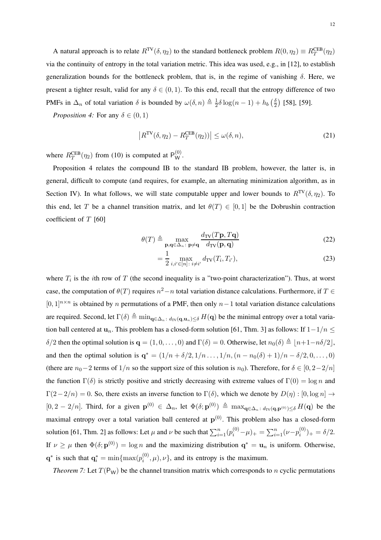A natural approach is to relate  $R^{TV}(\delta, \eta_2)$  to the standard bottleneck problem  $R(0, \eta_2) \equiv R_T^{CEB}(\eta_2)$ via the continuity of entropy in the total variation metric. This idea was used, e.g., in [12], to establish generalization bounds for the bottleneck problem, that is, in the regime of vanishing  $\delta$ . Here, we present a tighter result, valid for any  $\delta \in (0,1)$ . To this end, recall that the entropy difference of two PMFs in  $\Delta_n$  of total variation  $\delta$  is bounded by  $\omega(\delta, n) \triangleq \frac{1}{2}$  $\frac{1}{2}\delta \log(n-1) + h_b\left(\frac{\delta}{2}\right)$  $\frac{6}{2}$ ) [58], [59].

*Proposition 4:* For any  $\delta \in (0, 1)$ 

$$
\left| R^{\text{TV}}(\delta, \eta_2) - R_T^{\text{CEB}}(\eta_2) \right| \le \omega(\delta, n),\tag{21}
$$

where  $R_T^{\text{CEB}}(\eta_2)$  from (10) is computed at  $P_W^{(0)}$ .

Proposition 4 relates the compound IB to the standard IB problem, however, the latter is, in general, difficult to compute (and requires, for example, an alternating minimization algorithm, as in Section IV). In what follows, we will state computable upper and lower bounds to  $R^{TV}(\delta, \eta_2)$ . To this end, let T be a channel transition matrix, and let  $\theta(T) \in [0,1]$  be the Dobrushin contraction coefficient of  $T$  [60]

$$
\theta(T) \triangleq \max_{\mathbf{p}, \mathbf{q} \in \Delta_n : \mathbf{p} \neq \mathbf{q}} \frac{d_{\text{TV}}(T\mathbf{p}, T\mathbf{q})}{d_{\text{TV}}(\mathbf{p}, \mathbf{q})}
$$
(22)

$$
= \frac{1}{2} \max_{i,i' \in [n]: \ i \neq i'} d_{\text{TV}}(T_i, T_{i'}), \tag{23}
$$

where  $T_i$  is the *i*th row of T (the second inequality is a "two-point characterization"). Thus, at worst case, the computation of  $\theta(T)$  requires  $n^2 - n$  total variation distance calculations. Furthermore, if  $T \in$  $[0, 1]^{n \times n}$  is obtained by n permutations of a PMF, then only  $n-1$  total variation distance calculations are required. Second, let  $\Gamma(\delta) \triangleq \min_{\mathbf{q} \in \Delta_n : d_{\text{TV}}(\mathbf{q}, \mathbf{u}_n) \leq \delta} H(\mathbf{q})$  be the minimal entropy over a total variation ball centered at  $\mathbf{u}_n$ . This problem has a closed-form solution [61, Thm. 3] as follows: If  $1-1/n \leq$  $\delta/2$  then the optimal solution is  $\mathbf{q} = (1, 0, \dots, 0)$  and  $\Gamma(\delta) = 0$ . Otherwise, let  $n_0(\delta) \triangleq |n+1-n\delta/2|$ , and then the optimal solution is  $\mathbf{q}^* = (1/n + \delta/2, 1/n, ..., 1/n, (n - n_0(\delta) + 1)/n - \delta/2, 0, ..., 0)$ (there are  $n_0-2$  terms of  $1/n$  so the support size of this solution is  $n_0$ ). Therefore, for  $\delta \in [0, 2-2/n]$ the function  $\Gamma(\delta)$  is strictly positive and strictly decreasing with extreme values of  $\Gamma(0) = \log n$  and  $\Gamma(2-2/n) = 0$ . So, there exists an inverse function to  $\Gamma(\delta)$ , which we denote by  $D(\eta) : [0, \log n] \to$  $[0, 2 - 2/n]$ . Third, for a given  $p^{(0)} \in \Delta_n$ , let  $\Phi(\delta; \mathbf{p}^{(0)}) \triangleq \max_{\mathbf{q} \in \Delta_n : d_{TV}(\mathbf{q}, \mathbf{p}^{(0)}) \leq \delta} H(\mathbf{q})$  be the maximal entropy over a total variation ball centered at  $p^{(0)}$ . This problem also has a closed-form solution [61, Thm. 2] as follows: Let  $\mu$  and  $\nu$  be such that  $\sum_{i=1}^{n} (p_i^{(0)} - \mu)_+ = \sum_{i=1}^{n} (\nu - p_i^{(0)} - \mu)_+$  $i^{(0)}_i)_+ = \delta/2.$ If  $\nu \ge \mu$  then  $\Phi(\delta; \mathbf{p}^{(0)}) = \log n$  and the maximizing distribution  $\mathbf{q}^* = \mathbf{u}_n$  is uniform. Otherwise,  $\mathbf{q}^*$  is such that  $\mathbf{q}_i^* = \min\{\max(p_i^{(0)}\})$  $\{u^{(0)}, \mu\}, \nu\}$ , and its entropy is the maximum.

*Theorem 7:* Let  $T(P_W)$  be the channel transition matrix which corresponds to n cyclic permutations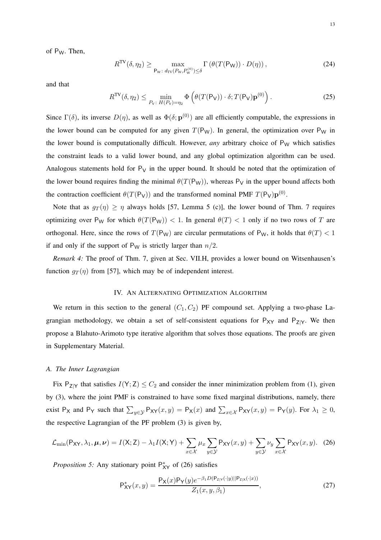of PW. Then,

$$
R^{\rm TV}(\delta, \eta_2) \ge \max_{\mathsf{P}_{\rm W}: d_{\rm TV}(P_{\rm W}, P_{\rm W}^{(0)}) \le \delta} \Gamma\left(\theta(T(\mathsf{P}_{\rm W})) \cdot D(\eta)\right),\tag{24}
$$

and that

$$
R^{\text{TV}}(\delta, \eta_2) \le \min_{P_V: H(P_V) = \eta_2} \Phi\left(\theta(T(P_V)) \cdot \delta; T(P_V) \mathbf{p}^{(0)}\right). \tag{25}
$$

Since  $\Gamma(\delta)$ , its inverse  $D(\eta)$ , as well as  $\Phi(\delta; \mathbf{p}^{(0)})$  are all efficiently computable, the expressions in the lower bound can be computed for any given  $T(P_W)$ . In general, the optimization over P<sub>W</sub> in the lower bound is computationally difficult. However, *any* arbitrary choice of P<sub>W</sub> which satisfies the constraint leads to a valid lower bound, and any global optimization algorithm can be used. Analogous statements hold for  $P_V$  in the upper bound. It should be noted that the optimization of the lower bound requires finding the minimal  $\theta(T(P_W))$ , whereas P<sub>V</sub> in the upper bound affects both the contraction coefficient  $\theta(T(P_V))$  and the transformed nominal PMF  $T(P_V)$  $\mathbf{p}^{(0)}$ .

Note that as  $g_T(\eta) \geq \eta$  always holds [57, Lemma 5 (c)], the lower bound of Thm. 7 requires optimizing over P<sub>W</sub> for which  $\theta(T(P_W))$  < 1. In general  $\theta(T)$  < 1 only if no two rows of T are orthogonal. Here, since the rows of  $T(P_W)$  are circular permutations of P<sub>W</sub>, it holds that  $\theta(T) < 1$ if and only if the support of  $P_W$  is strictly larger than  $n/2$ .

*Remark 4:* The proof of Thm. 7, given at Sec. VII.H, provides a lower bound on Witsenhausen's function  $q_T(\eta)$  from [57], which may be of independent interest.

## IV. AN ALTERNATING OPTIMIZATION ALGORITHM

We return in this section to the general  $(C_1, C_2)$  PF compound set. Applying a two-phase Lagrangian methodology, we obtain a set of self-consistent equations for  $P_{XY}$  and  $P_{Z|Y}$ . We then propose a Blahuto-Arimoto type iterative algorithm that solves those equations. The proofs are given in Supplementary Material.

### *A. The Inner Lagrangian*

Fix  $P_{Z|Y}$  that satisfies  $I(Y; Z) \leq C_2$  and consider the inner minimization problem from (1), given by (3), where the joint PMF is constrained to have some fixed marginal distributions, namely, there exist  $P_X$  and  $P_Y$  such that  $\sum_{y \in Y} P_{XY}(x, y) = P_X(x)$  and  $\sum_{x \in \mathcal{X}} P_{XY}(x, y) = P_Y(y)$ . For  $\lambda_1 \ge 0$ , the respective Lagrangian of the PF problem (3) is given by,

$$
\mathcal{L}_{\min}(\mathsf{P}_{\mathsf{XY}}, \lambda_1, \boldsymbol{\mu}, \boldsymbol{\nu}) = I(\mathsf{X}; \mathsf{Z}) - \lambda_1 I(\mathsf{X}; \mathsf{Y}) + \sum_{x \in \mathcal{X}} \mu_x \sum_{y \in \mathcal{Y}} \mathsf{P}_{\mathsf{XY}}(x, y) + \sum_{y \in \mathcal{Y}} \nu_y \sum_{x \in \mathcal{X}} \mathsf{P}_{\mathsf{XY}}(x, y). \tag{26}
$$

*Proposition 5:* Any stationary point  $P_{XY}^*$  of (26) satisfies

$$
P_{XY}^*(x,y) = \frac{P_X(x)P_Y(y)e^{-\beta_1 D(P_{Z|Y}(\cdot|y)||P_{Z|X}(\cdot|x))}}{Z_1(x,y,\beta_1)},
$$
\n(27)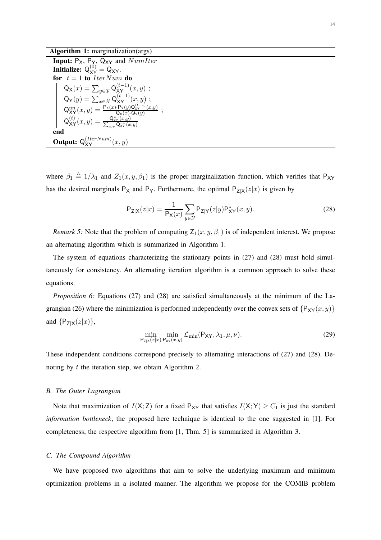Algorithm 1: marginalization(args)

**Input:**  $P_X$ ,  $P_Y$ ,  $Q_{XY}$  and  $NumIter$ Initialize:  $Q_{XY}^{(0)} = Q_{XY}$ . for  $t = 1$  to IterNum do  $\mathsf{Q}_{\mathsf{X}}(x) = \sum_{y \in \mathcal{Y}} \mathsf{Q}_{\mathsf{X}\mathsf{Y}}^{(t-1)}(x,y)$  ;  $\mathsf{Q}_{\mathsf{Y}}(y) = \sum_{x \in \mathcal{X}} \mathsf{Q}_{\mathsf{XY}}^{(t-1)}(x,y)$  ;  $\mathsf{Q}_{\mathsf{XY}}^{un}(x,y) = \frac{\mathsf{P}_{\mathsf{X}}(x)\cdot\mathsf{P}_{\mathsf{Y}}(y)\mathsf{Q}_{\mathsf{XY}}^{(t-1)}(x,y)}{\mathsf{Q}_{\mathsf{X}}(x)\cdot\mathsf{Q}_{\mathsf{Y}}(y)}$  $\frac{\Gamma_Y(y)Q_{XY} (x,y)}{Q_X(x) \cdot Q_Y(y)}$ ;  $\mathsf{Q}_\mathsf{XY}^{(t)}(x,y) = \frac{\mathsf{Q}_\mathsf{XY}^{un}}{\sum_{x,y} \mathsf{G}}$  $(x,y)$  $_{x,y}$  Q $_{\rm XY}^{un}(x,y)$ end **Output:**  $Q_{XY}^{(IterNum)}(x, y)$ 

where  $\beta_1 \triangleq 1/\lambda_1$  and  $Z_1(x, y, \beta_1)$  is the proper marginalization function, which verifies that P<sub>XY</sub> has the desired marginals  $P_X$  and  $P_Y$ . Furthermore, the optimal  $P_{Z|X}(z|x)$  is given by

$$
P_{Z|X}(z|x) = \frac{1}{P_X(x)} \sum_{y \in \mathcal{Y}} P_{Z|Y}(z|y) P_{XY}^*(x, y).
$$
 (28)

*Remark 5:* Note that the problem of computing  $Z_1(x, y, \beta_1)$  is of independent interest. We propose an alternating algorithm which is summarized in Algorithm 1.

The system of equations characterizing the stationary points in (27) and (28) must hold simultaneously for consistency. An alternating iteration algorithm is a common approach to solve these equations.

*Proposition 6:* Equations (27) and (28) are satisfied simultaneously at the minimum of the Lagrangian (26) where the minimization is performed independently over the convex sets of  $\{P_{XY}(x, y)\}$ and  $\{P_{Z|X}(z|x)\},\$ 

$$
\min_{\mathsf{P}_{\mathsf{Z}|\mathsf{X}}(z|x)} \min_{\mathsf{P}_{\mathsf{XY}}(x,y)} \mathcal{L}_{\min}(\mathsf{P}_{\mathsf{XY}}, \lambda_1, \mu, \nu).
$$
\n(29)

These independent conditions correspond precisely to alternating interactions of (27) and (28). Denoting by  $t$  the iteration step, we obtain Algorithm 2.

### *B. The Outer Lagrangian*

Note that maximization of  $I(X; Z)$  for a fixed  $P_{XY}$  that satisfies  $I(X; Y) \geq C_1$  is just the standard *information bottleneck*, the proposed here technique is identical to the one suggested in [1]. For completeness, the respective algorithm from [1, Thm. 5] is summarized in Algorithm 3.

#### *C. The Compound Algorithm*

We have proposed two algorithms that aim to solve the underlying maximum and minimum optimization problems in a isolated manner. The algorithm we propose for the COMIB problem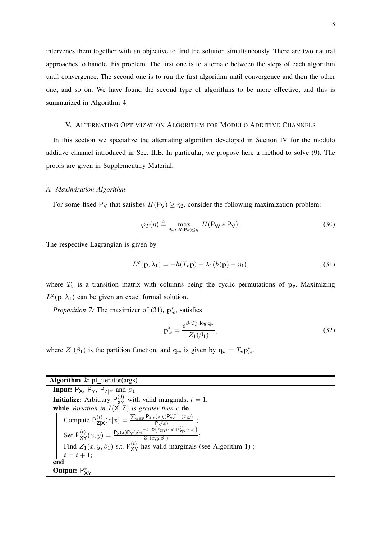intervenes them together with an objective to find the solution simultaneously. There are two natural approaches to handle this problem. The first one is to alternate between the steps of each algorithm until convergence. The second one is to run the first algorithm until convergence and then the other one, and so on. We have found the second type of algorithms to be more effective, and this is summarized in Algorithm 4.

#### V. ALTERNATING OPTIMIZATION ALGORITHM FOR MODULO ADDITIVE CHANNELS

In this section we specialize the alternating algorithm developed in Section IV for the modulo additive channel introduced in Sec. II.E. In particular, we propose here a method to solve (9). The proofs are given in Supplementary Material.

#### *A. Maximization Algorithm*

For some fixed P<sub>V</sub> that satisfies  $H(P_V) \ge \eta_2$ , consider the following maximization problem:

$$
\varphi_T(\eta) \triangleq \max_{\mathsf{P}_{\mathsf{W}} \colon H(\mathsf{P}_{\mathsf{W}}) \leq \eta_1} H(\mathsf{P}_{\mathsf{W}} * \mathsf{P}_{\mathsf{V}}). \tag{30}
$$

The respective Lagrangian is given by

$$
L^{\varphi}(\mathbf{p}, \lambda_1) = -h(T_v \mathbf{p}) + \lambda_1 (h(\mathbf{p}) - \eta_1), \qquad (31)
$$

where  $T_v$  is a transition matrix with columns being the cyclic permutations of  $\mathbf{p}_v$ . Maximizing  $L^{\varphi}(\mathbf{p}, \lambda_1)$  can be given an exact formal solution.

*Proposition 7:* The maximizer of (31),  $\mathbf{p}_w^*$ , satisfies

$$
\mathbf{p}_{w}^{*} = \frac{e^{\beta_{1}T_{v}^{T}\log \mathbf{q}_{w}}}{Z_{1}(\beta_{1})},
$$
\n(32)

where  $Z_1(\beta_1)$  is the partition function, and  $\mathbf{q}_w$  is given by  $\mathbf{q}_w = T_v \mathbf{p}_w^*$ .

| <b>Algorithm 2:</b> $pf$ iterator( $args$ )                                                                                                                                                                                                                                                                                  |
|------------------------------------------------------------------------------------------------------------------------------------------------------------------------------------------------------------------------------------------------------------------------------------------------------------------------------|
| <b>Input:</b> $P_X$ , $P_Y$ , $P_{Z Y}$ and $\beta_1$                                                                                                                                                                                                                                                                        |
| <b>Initialize:</b> Arbitrary $P_{xy}^{(0)}$ with valid marginals, $t = 1$ .                                                                                                                                                                                                                                                  |
| while Variation in $I(X; Z)$ is greater then $\epsilon$ do                                                                                                                                                                                                                                                                   |
| Compute $P_{Z X}^{(t)}(z x) = \frac{\sum_{y \in Y} P_{Z Y}(z y)P_{XY}^{(t-1)}(x,y)}{P_{X X}^{(t)}}$ ;<br>Set $P_{XY}^{(t)}(x,y) = \frac{P_X(x)P_Y(y)e^{-\beta_1 D}(P_{Z Y}(\cdot y)  P_{Z X}^{(t)}(\cdot x))}{Z_1(x,y,\beta_1)}$ ;<br>Find $Z_1(x,y,\beta_1)$ s.t. $P_{XY}^{(t)}$ has valid marginals (see Algorithm 1);<br> |
|                                                                                                                                                                                                                                                                                                                              |
|                                                                                                                                                                                                                                                                                                                              |
|                                                                                                                                                                                                                                                                                                                              |
| end                                                                                                                                                                                                                                                                                                                          |
| Output: $P_{XY}^*$                                                                                                                                                                                                                                                                                                           |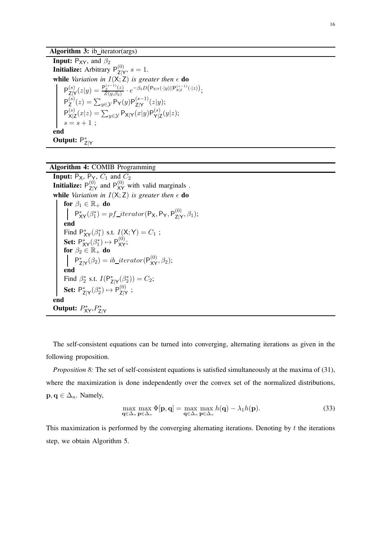# Algorithm 3: ib\_iterator(args)

**Input:** P<sub>XY</sub>, and  $\beta_2$ **Initialize:** Arbitrary  $P_{7}^{(0)}$  $\sum_{|X|}^{(0)}$ ,  $s=1$ . while *Variation in*  $I(X;\mathsf{Z})$  *is greater then*  $\epsilon$  do  $P_{7}^{(s)}$  $\frac{f(z)}{z|Y}(z|y) = \frac{P_Z^{(s-1)}(z)}{Z(y,\beta_2)}$  $\frac{Z_{Z}^{(s-1)}(z)}{Z(y,\beta_2)}\cdot e^{-\beta_2 D\left(\mathsf{P}_{\mathsf{X}|\mathsf{Y}}(\cdot|y)||\mathsf{P}_{\mathsf{X}|\mathsf{Z}}^{(s-1)}(\cdot|z)\right)};$  $P_7^{(s)}$  $\frac{S(z)}{Z}(z) = \sum_{y \in \mathcal{Y}} \mathsf{P}_{\mathsf{Y}}(y) \mathsf{P}_{\mathsf{Z}|\mathsf{Y}}^{(s-1)}$  $\frac{(s-1)}{Z|Y}(z|y);$  $\mathsf{P}^{(s)}_{\mathsf{v} \mathsf{b}}$  $\frac{\mathsf{x}^{(s)}}{\mathsf{x}|\mathsf{z}}(x|z) = \sum_{y\in\mathcal{Y}}\mathsf{P}_{\mathsf{X}|\mathsf{Y}}(x|y)\mathsf{P}_{\mathsf{Y}|\mathsf{Z}}^{(s)}$  $\mathsf{Y}^{(s)}_{|\mathsf{Z}}(y|z);$  $s = s + 1;$ end Output:  $P_{Z|Y}^*$ 

Algorithm 4: COMIB Programming

**Input:**  $P_X$ ,  $P_X$ ,  $C_1$  and  $C_2$ Initialize:  $\mathsf{P}_{\mathsf{Z}|\mathsf{X}}^{(0)}$  $\frac{1}{2|Y|}$  and  $P_{XY}^{(0)}$  with valid marginals. while *Variation in*  $I(X; Z)$  *is greater then*  $\epsilon$  do for  $\beta_1 \in \mathbb{R}_+$  do  $P_{XY}^*(\beta_1^*) = pf\_iterator(P_X, P_Y, P_{Z|Y}^{(0)})$  $\overset{(0)}{\mathsf{Z}|\mathsf{Y}}, \beta_1);$ end Find  $P_{XY}^*(\beta_1^*)$  s.t.  $I(X;Y) = C_1$ ; Set:  $P_{XY}^*(\beta_1^*) \mapsto P_{XY}^{(0)}$ ; for  $\beta_2 \in \mathbb{R}_+$  do  $P_{Z|Y}^*(\beta_2) = ib\_iterator(P_{XY}^{(0)}, \beta_2);$ end Find  $\beta_2^*$  s.t.  $I(P_{Z|Y}^*(\beta_2^*)) = C_2;$ Set:  $\mathsf{P}^*_{\mathsf{Z}|\mathsf{Y}}(\beta_2^*) \mapsto \mathsf{P}^{(0)}_{\mathsf{Z}|\mathsf{Y}}$  $\frac{1}{2|Y}$  ; end Output:  $P_{XY}^*, P_{Z|Y}^*$ 

The self-consistent equations can be turned into converging, alternating iterations as given in the following proposition.

*Proposition 8:* The set of self-consistent equations is satisfied simultaneously at the maxima of (31), where the maximization is done independently over the convex set of the normalized distributions,  $\mathbf{p}, \mathbf{q} \in \Delta_n$ . Namely,

$$
\max_{\mathbf{q}\in\Delta_n} \max_{\mathbf{p}\in\Delta_n} \Phi[\mathbf{p}, \mathbf{q}] = \max_{\mathbf{q}\in\Delta_n} \max_{\mathbf{p}\in\Delta_n} h(\mathbf{q}) - \lambda_1 h(\mathbf{p}).
$$
\n(33)

This maximization is performed by the converging alternating iterations. Denoting by  $t$  the iterations step, we obtain Algorithm 5.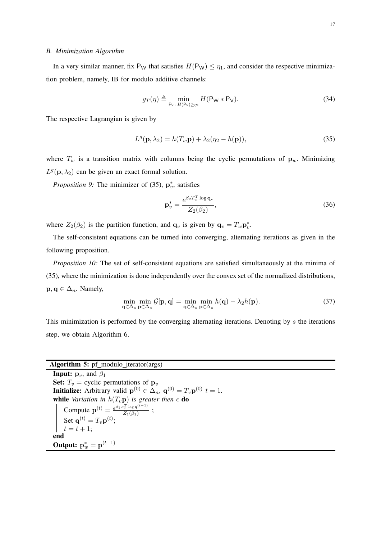#### *B. Minimization Algorithm*

In a very similar manner, fix P<sub>W</sub> that satisfies  $H(P_W) \leq \eta_1$ , and consider the respective minimization problem, namely, IB for modulo additive channels:

$$
g_T(\eta) \triangleq \min_{\mathsf{P}_\mathsf{V}: H(\mathsf{P}_\mathsf{V}) \geq \eta_2} H(\mathsf{P}_\mathsf{W} * \mathsf{P}_\mathsf{V}).\tag{34}
$$

The respective Lagrangian is given by

$$
L^{g}(\mathbf{p}, \lambda_2) = h(T_w \mathbf{p}) + \lambda_2 (\eta_2 - h(\mathbf{p})),
$$
\n(35)

where  $T_w$  is a transition matrix with columns being the cyclic permutations of  $\mathbf{p}_w$ . Minimizing  $L^g(\mathbf{p},\lambda_2)$  can be given an exact formal solution.

*Proposition 9:* The minimizer of  $(35)$ ,  $p_v^*$ , satisfies

$$
\mathbf{p}_v^* = \frac{e^{\beta_2 T_w^T \log \mathbf{q}_v}}{Z_2(\beta_2)},\tag{36}
$$

where  $Z_2(\beta_2)$  is the partition function, and  $\mathbf{q}_v$  is given by  $\mathbf{q}_v = T_w \mathbf{p}_v^*$ .

The self-consistent equations can be turned into converging, alternating iterations as given in the following proposition.

*Proposition 10:* The set of self-consistent equations are satisfied simultaneously at the minima of (35), where the minimization is done independently over the convex set of the normalized distributions,  $\mathbf{p}, \mathbf{q} \in \Delta_n$ . Namely,

$$
\min_{\mathbf{q}\in\Delta_n} \min_{\mathbf{p}\in\Delta_n} \mathcal{G}[\mathbf{p}, \mathbf{q}] = \min_{\mathbf{q}\in\Delta_n} \min_{\mathbf{p}\in\Delta_n} h(\mathbf{q}) - \lambda_2 h(\mathbf{p}).
$$
\n(37)

This minimization is performed by the converging alternating iterations. Denoting by  $s$  the iterations step, we obtain Algorithm 6.

### Algorithm 5: pf\_modulo\_iterator(args)

**Input:**  $\mathbf{p}_v$ , and  $\beta_1$ Set:  $T_v$  = cyclic permutations of  $\mathbf{p}_v$ **Initialize:** Arbitrary valid  $\mathbf{p}^{(0)} \in \Delta_n$ ,  $\mathbf{q}^{(0)} = T_v \mathbf{p}^{(0)} t = 1$ . **while** Variation in  $h(T_v\mathbf{p})$  is greater then  $\epsilon$  do Compute  ${\bf p}^{(t)} = \frac{e^{\beta_1 T_v^T \log {\bf q}^{(t-1)}}}{Z_v(\beta_v)}$  $\frac{v \log q}{Z_1(\beta_1)}$ ; Set  $\mathbf{q}^{(t)} = T_v \mathbf{p}^{(t)}$ ;  $t = t + 1;$ end Output:  $p_w^* = p^{(t-1)}$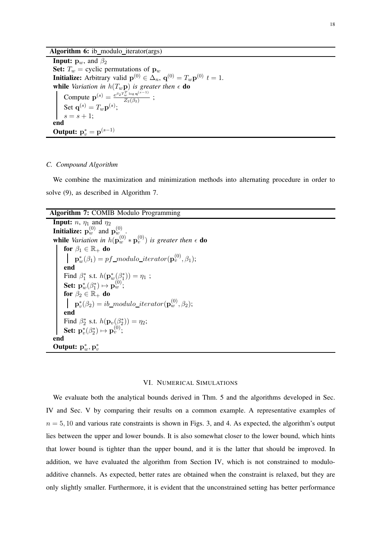Algorithm 6: ib\_modulo\_iterator(args)

**Input:**  $\mathbf{p}_w$ , and  $\beta_2$ Set:  $T_w$  = cyclic permutations of  $\mathbf{p}_w$ **Initialize:** Arbitrary valid  $\mathbf{p}^{(0)} \in \Delta_n$ ,  $\mathbf{q}^{(0)} = T_w \mathbf{p}^{(0)}$   $t = 1$ . while *Variation in*  $h(T_w \mathbf{p})$  *is greater then*  $\epsilon$  **do** Compute  $\mathbf{p}^{(s)} = \frac{e^{\beta_2 T_w^T \log \mathbf{q}^{(s-1)}}}{Z_o(\beta_0)}$  $\frac{w \log q}{Z_2(\beta_2)}$ ; Set  $\mathbf{q}^{(s)} = T_w \mathbf{p}^{(s)}$ ;  $s = s + 1;$ end Output:  $p_v^* = p^{(s-1)}$ 

#### *C. Compound Algorithm*

We combine the maximization and minimization methods into alternating procedure in order to solve (9), as described in Algorithm 7.

Algorithm 7: COMIB Modulo Programming

| <b>Input:</b> <i>n</i> , $\eta_1$ and $\eta_2$<br><b>Initialize:</b> $\mathbf{p}_w^{(0)}$ and $\mathbf{p}_{w}^{(0)}$ .                |
|---------------------------------------------------------------------------------------------------------------------------------------|
| <b>while</b> Variation in $h(\mathbf{p}_w^{(0)} * \mathbf{p}_v^{(0)})$ is greater then $\epsilon$ do                                  |
| for $\beta_1 \in \mathbb{R}_+$ do                                                                                                     |
| $\mathbf{p}_{w}^{*}(\beta_{1}) = pf\_modulo\_iterator(\mathbf{p}_{v}^{(0)}, \beta_{1});$                                              |
| end                                                                                                                                   |
| Find $\beta_1^*$ s.t. $h(\mathbf{p}_w^*(\beta_1^*)) = \eta_1$ ;                                                                       |
| <b>Set:</b> $\mathbf{p}_{w}^{*}(\beta_{1}^{*}) \mapsto \mathbf{p}_{w}^{(0)}$ ;                                                        |
| for $\beta_2 \in \mathbb{R}_+$ do                                                                                                     |
| $\mathbf{p}_n^*(\beta_2) = ib\_modulo\_iterator(\mathbf{p}_w^{(0)}, \beta_2);$                                                        |
| end                                                                                                                                   |
| Find $\beta_2^*$ s.t. $h(\mathbf{p}_v(\beta_2^*)) = \eta_2$ ;<br><b>Set:</b> $\mathbf{p}_v^*(\beta_2^*) \mapsto \mathbf{p}_v^{(0)}$ ; |
|                                                                                                                                       |
| end                                                                                                                                   |
| <b>Output:</b> $\mathbf{p}_m^*, \mathbf{p}_n^*$                                                                                       |

#### VI. NUMERICAL SIMULATIONS

We evaluate both the analytical bounds derived in Thm. 5 and the algorithms developed in Sec. IV and Sec. V by comparing their results on a common example. A representative examples of  $n = 5, 10$  and various rate constraints is shown in Figs. 3, and 4. As expected, the algorithm's output lies between the upper and lower bounds. It is also somewhat closer to the lower bound, which hints that lower bound is tighter than the upper bound, and it is the latter that should be improved. In addition, we have evaluated the algorithm from Section IV, which is not constrained to moduloadditive channels. As expected, better rates are obtained when the constraint is relaxed, but they are only slightly smaller. Furthermore, it is evident that the unconstrained setting has better performance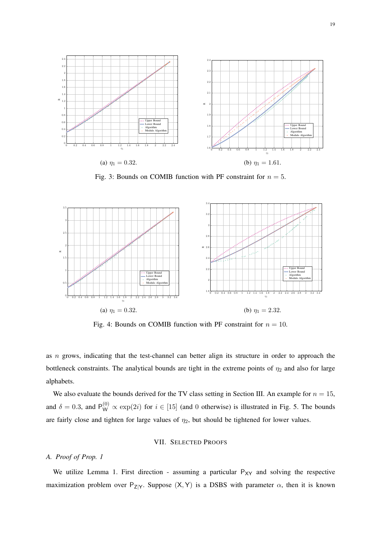

Fig. 3: Bounds on COMIB function with PF constraint for  $n = 5$ .



Fig. 4: Bounds on COMIB function with PF constraint for  $n = 10$ .

as n grows, indicating that the test-channel can better align its structure in order to approach the bottleneck constraints. The analytical bounds are tight in the extreme points of  $\eta_2$  and also for large alphabets.

We also evaluate the bounds derived for the TV class setting in Section III. An example for  $n = 15$ , and  $\delta = 0.3$ , and  $P_{W}^{(0)} \propto \exp(2i)$  for  $i \in [15]$  (and 0 otherwise) is illustrated in Fig. 5. The bounds are fairly close and tighten for large values of  $\eta_2$ , but should be tightened for lower values.

## VII. SELECTED PROOFS

### *A. Proof of Prop. 1*

We utilize Lemma 1. First direction - assuming a particular  $P_{XY}$  and solving the respective maximization problem over  $P_{Z|Y}$ . Suppose  $(X, Y)$  is a DSBS with parameter  $\alpha$ , then it is known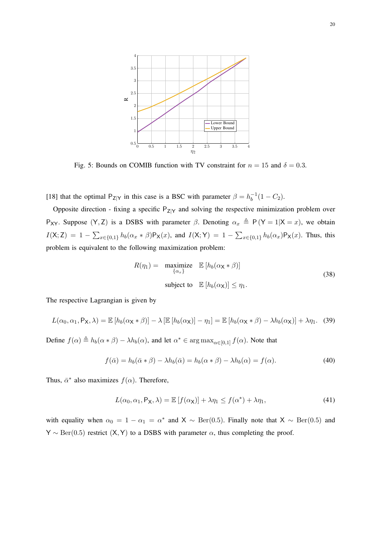

Fig. 5: Bounds on COMIB function with TV constraint for  $n = 15$  and  $\delta = 0.3$ .

[18] that the optimal  $P_{Z|Y}$  in this case is a BSC with parameter  $\beta = h_b^{-1}$  $b^{-1}(1-C_2).$ 

Opposite direction - fixing a specific  $P_{Z|Y}$  and solving the respective minimization problem over P<sub>XY</sub>. Suppose (Y, Z) is a DSBS with parameter  $\beta$ . Denoting  $\alpha_x \triangleq P(Y = 1|X = x)$ , we obtain  $I(X; Z) = 1 - \sum_{x \in \{0,1\}} h_b(\alpha_x * \beta) P_X(x)$ , and  $I(X; Y) = 1 - \sum_{x \in \{0,1\}} h_b(\alpha_x) P_X(x)$ . Thus, this problem is equivalent to the following maximization problem:

$$
R(\eta_1) = \underset{\{\alpha_x\}}{\text{maximize}} \mathbb{E}\left[h_b(\alpha_X * \beta)\right]
$$
  
subject to 
$$
\mathbb{E}\left[h_b(\alpha_X)\right] \leq \eta_1.
$$
 (38)

The respective Lagrangian is given by

$$
L(\alpha_0, \alpha_1, P_X, \lambda) = \mathbb{E}\left[h_b(\alpha_X * \beta)\right] - \lambda \left[\mathbb{E}\left[h_b(\alpha_X)\right] - \eta_1\right] = \mathbb{E}\left[h_b(\alpha_X * \beta) - \lambda h_b(\alpha_X)\right] + \lambda \eta_1. \tag{39}
$$

Define  $f(\alpha) \triangleq h_b(\alpha * \beta) - \lambda h_b(\alpha)$ , and let  $\alpha^* \in \arg \max_{\alpha \in [0,1]} f(\alpha)$ . Note that

$$
f(\bar{\alpha}) = h_b(\bar{\alpha} * \beta) - \lambda h_b(\bar{\alpha}) = h_b(\alpha * \beta) - \lambda h_b(\alpha) = f(\alpha).
$$
 (40)

Thus,  $\bar{\alpha}^*$  also maximizes  $f(\alpha)$ . Therefore,

$$
L(\alpha_0, \alpha_1, P_X, \lambda) = \mathbb{E}\left[f(\alpha_X)\right] + \lambda \eta_1 \le f(\alpha^*) + \lambda \eta_1,\tag{41}
$$

with equality when  $\alpha_0 = 1 - \alpha_1 = \alpha^*$  and X  $\sim \text{Ber}(0.5)$ . Finally note that X  $\sim \text{Ber}(0.5)$  and  $Y \sim Ber(0.5)$  restrict  $(X, Y)$  to a DSBS with parameter  $\alpha$ , thus completing the proof.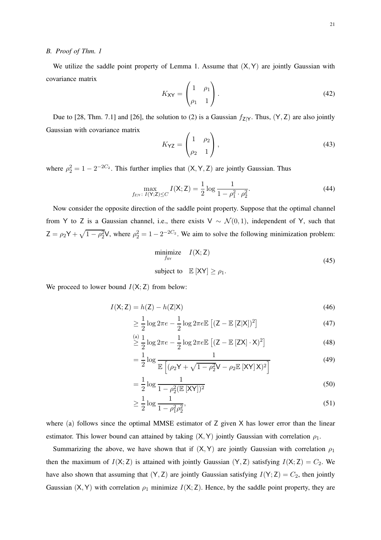#### *B. Proof of Thm. 1*

We utilize the saddle point property of Lemma 1. Assume that  $(X, Y)$  are jointly Gaussian with covariance matrix  $\overline{ }$ 

$$
K_{\mathbf{XY}} = \begin{pmatrix} 1 & \rho_1 \\ \rho_1 & 1 \end{pmatrix} . \tag{42}
$$

Due to [28, Thm. 7.1] and [26], the solution to (2) is a Gaussian  $f_{Z|Y}$ . Thus,  $(Y, Z)$  are also jointly Gaussian with covariance matrix

$$
K_{\mathsf{YZ}} = \begin{pmatrix} 1 & \rho_2 \\ \rho_2 & 1 \end{pmatrix},\tag{43}
$$

where  $\rho_2^2 = 1 - 2^{-2C_2}$ . This further implies that  $(X, Y, Z)$  are jointly Gaussian. Thus

$$
\max_{f_{Z|Y}} \max_{I(Y;Z) \le C} I(X;Z) = \frac{1}{2} \log \frac{1}{1 - \rho_1^2 \cdot \rho_2^2}.
$$
\n(44)

Now consider the opposite direction of the saddle point property. Suppose that the optimal channel from Y to Z is a Gaussian channel, i.e., there exists V ~  $\mathcal{N}(0,1)$ , independent of Y, such that  $Z = \rho_2 Y + \sqrt{1 - \rho_2^2} V$ , where  $\rho_2^2 = 1 - 2^{-2C_2}$ . We aim to solve the following minimization problem:

$$
\begin{array}{ll}\n\text{minimize} & I(\mathsf{X}; \mathsf{Z}) \\
\text{subject to} & \mathbb{E}[\mathsf{X}\mathsf{Y}] \ge \rho_1.\n\end{array} \tag{45}
$$

We proceed to lower bound  $I(X; Z)$  from below:

$$
I(X;Z) = h(Z) - h(Z|X)
$$
\n(46)

$$
\geq \frac{1}{2}\log 2\pi e - \frac{1}{2}\log 2\pi e \mathbb{E}\left[ (Z - \mathbb{E}\left[ Z|X] \right)^2 \right] \tag{47}
$$

$$
\stackrel{\text{(a)}}{\geq} \frac{1}{2} \log 2\pi e - \frac{1}{2} \log 2\pi e \mathbb{E} \left[ (\mathsf{Z} - \mathbb{E} \left[ \mathsf{Z} \mathsf{X} \right] \cdot \mathsf{X})^2 \right] \tag{48}
$$

$$
= \frac{1}{2} \log \frac{1}{\mathbb{E}\left[ (\rho_2 \mathsf{Y} + \sqrt{1 - \rho_2^2} \mathsf{V} - \rho_2 \mathbb{E}\left[ \mathsf{X} \mathsf{Y} \right] \mathsf{X})^2 \right]}
$$
(49)

$$
= \frac{1}{2} \log \frac{1}{1 - \rho_2^2 (\mathbb{E} [XY])^2}
$$
(50)

$$
\geq \frac{1}{2} \log \frac{1}{1 - \rho_1^2 \rho_2^2},\tag{51}
$$

where (a) follows since the optimal MMSE estimator of Z given X has lower error than the linear estimator. This lower bound can attained by taking  $(X, Y)$  jointly Gaussian with correlation  $\rho_1$ .

Summarizing the above, we have shown that if  $(X, Y)$  are jointly Gaussian with correlation  $\rho_1$ then the maximum of  $I(X; Z)$  is attained with jointly Gaussian  $(Y, Z)$  satisfying  $I(X; Z) = C_2$ . We have also shown that assuming that  $(Y, Z)$  are jointly Gaussian satisfying  $I(Y; Z) = C_2$ , then jointly Gaussian (X, Y) with correlation  $\rho_1$  minimize  $I(X; Z)$ . Hence, by the saddle point property, they are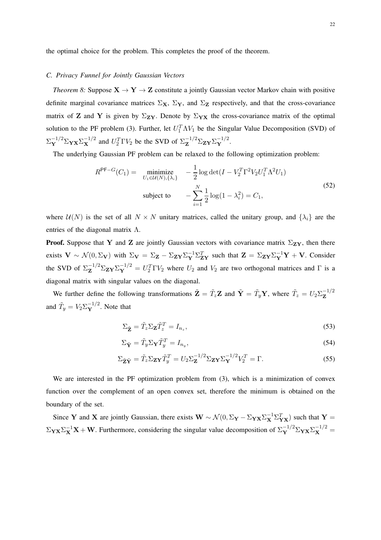the optimal choice for the problem. This completes the proof of the theorem.

#### *C. Privacy Funnel for Jointly Gaussian Vectors*

*Theorem 8:* Suppose  $X \rightarrow Y \rightarrow Z$  constitute a jointly Gaussian vector Markov chain with positive definite marginal covariance matrices  $\Sigma_X$ ,  $\Sigma_Y$ , and  $\Sigma_Z$  respectively, and that the cross-covariance matrix of Z and Y is given by  $\Sigma_{\mathbf{ZY}}$ . Denote by  $\Sigma_{\mathbf{YX}}$  the cross-covariance matrix of the optimal solution to the PF problem (3). Further, let  $U_1^T \Lambda V_1$  be the Singular Value Decomposition (SVD) of  $\Sigma_Y^{-1/2} \Sigma_{\mathbf{Y} \mathbf{X}} \Sigma_{\mathbf{X}}^{-1/2}$  and  $U_2^T \Gamma V_2$  be the SVD of  $\Sigma_{\mathbf{Z}}^{-1/2} \Sigma_{\mathbf{Z} \mathbf{Y}} \Sigma_{\mathbf{Y}}^{-1/2}$ .

The underlying Gaussian PF problem can be relaxed to the following optimization problem:

$$
R^{\mathsf{PF}-G}(C_1) = \min_{U_1 \in \mathcal{U}(N), \{\lambda_i\}} -\frac{1}{2} \log \det(I - V_2^T \Gamma^2 V_2 U_1^T \Lambda^2 U_1)
$$
  
subject to 
$$
- \sum_{i=1}^N \frac{1}{2} \log(1 - \lambda_i^2) = C_1,
$$
 (52)

where  $U(N)$  is the set of all  $N \times N$  unitary matrices, called the unitary group, and  $\{\lambda_i\}$  are the entries of the diagonal matrix  $\Lambda$ .

**Proof.** Suppose that Y and Z are jointly Gaussian vectors with covariance matrix  $\Sigma_{ZY}$ , then there exists  $\mathbf{V} \sim \mathcal{N}(0, \Sigma_{\mathbf{V}})$  with  $\Sigma_{\mathbf{V}} = \Sigma_{\mathbf{Z}} - \Sigma_{\mathbf{ZY}} \Sigma_{\mathbf{Y}}^{-1} \Sigma_{\mathbf{ZY}}^T$  such that  $\mathbf{Z} = \Sigma_{\mathbf{ZY}} \Sigma_{\mathbf{Y}}^{-1} \mathbf{Y} + \mathbf{V}$ . Consider the SVD of  $\Sigma_Z^{-1/2} \Sigma_{\mathbf{ZY}} \Sigma_Y^{-1/2} = U_2^T \Gamma V_2$  where  $U_2$  and  $V_2$  are two orthogonal matrices and  $\Gamma$  is a diagonal matrix with singular values on the diagonal.

We further define the following transformations  $\tilde{\mathbf{Z}} = \tilde{T}_z \mathbf{Z}$  and  $\tilde{\mathbf{Y}} = \tilde{T}_y \mathbf{Y}$ , where  $\tilde{T}_z = U_2 \Sigma_{\mathbf{Z}}^{-1/2}$ Z and  $\tilde{T}_y = V_2 \Sigma_Y^{-1/2}$ . Note that

$$
\Sigma_{\tilde{\mathbf{Z}}} = \tilde{T}_z \Sigma_{\mathbf{Z}} \tilde{T}_z^T = I_{n_z},\tag{53}
$$

$$
\Sigma_{\tilde{\mathbf{Y}}} = \tilde{T}_{y} \Sigma_{\mathbf{Y}} \tilde{T}_{y}^{T} = I_{n_{y}},\tag{54}
$$

$$
\Sigma_{\tilde{\mathbf{Z}}\tilde{\mathbf{Y}}} = \tilde{T}_z \Sigma_{\mathbf{Z}\mathbf{Y}} \tilde{T}_y^T = U_2 \Sigma_{\mathbf{Z}}^{-1/2} \Sigma_{\mathbf{Z}\mathbf{Y}} \Sigma_{\mathbf{Y}}^{-1/2} V_2^T = \Gamma.
$$
 (55)

We are interested in the PF optimization problem from (3), which is a minimization of convex function over the complement of an open convex set, therefore the minimum is obtained on the boundary of the set.

Since Y and X are jointly Gaussian, there exists  $W \sim \mathcal{N}(0, \Sigma_Y - \Sigma_{YX} \Sigma_X^{-1} \Sigma_{YX}^T)$  such that Y =  $\Sigma_{\mathbf{Y}\mathbf{X}}\Sigma^{-1}_{\mathbf{X}}\mathbf{X} + \mathbf{W}$ . Furthermore, considering the singular value decomposition of  $\Sigma^{-1/2}_{\mathbf{Y}}\Sigma_{\mathbf{Y}\mathbf{X}}\Sigma^{-1/2}_{\mathbf{X}} =$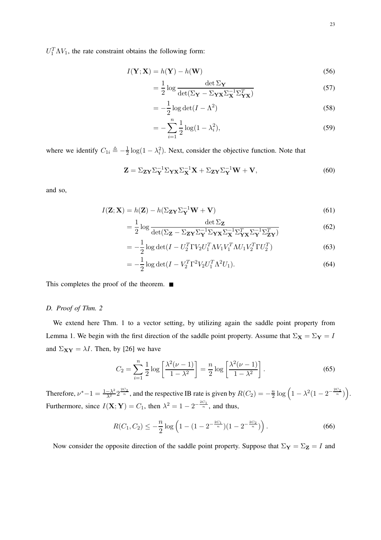$U_1^T \Lambda V_1$ , the rate constraint obtains the following form:

$$
I(\mathbf{Y}; \mathbf{X}) = h(\mathbf{Y}) - h(\mathbf{W})
$$
\n(56)

$$
= \frac{1}{2} \log \frac{\det \Sigma_Y}{\det (\Sigma_Y - \Sigma_{\mathbf{Y} \mathbf{X}} \Sigma_{\mathbf{X}}^{-1} \Sigma_{\mathbf{Y} \mathbf{X}}^T)} \tag{57}
$$

$$
= -\frac{1}{2}\log \det(I - \Lambda^2)
$$
\n(58)

$$
= -\sum_{i=1}^{n} \frac{1}{2} \log(1 - \lambda_i^2), \tag{59}
$$

where we identify  $C_{1i} \triangleq -\frac{1}{2}$  $\frac{1}{2}$ log(1 –  $\lambda_i^2$ ). Next, consider the objective function. Note that

$$
\mathbf{Z} = \Sigma_{\mathbf{Z}\mathbf{Y}} \Sigma_{\mathbf{Y}}^{-1} \Sigma_{\mathbf{Y}\mathbf{X}} \Sigma_{\mathbf{X}}^{-1} \mathbf{X} + \Sigma_{\mathbf{Z}\mathbf{Y}} \Sigma_{\mathbf{Y}}^{-1} \mathbf{W} + \mathbf{V},
$$
(60)

and so,

$$
I(\mathbf{Z}; \mathbf{X}) = h(\mathbf{Z}) - h(\Sigma_{\mathbf{Z}\mathbf{Y}}\Sigma_{\mathbf{Y}}^{-1}\mathbf{W} + \mathbf{V})
$$
\n(61)

$$
= \frac{1}{2} \log \frac{\det \Sigma_{\mathbf{Z}}}{\det(\Sigma_{\mathbf{Z}} - \Sigma_{\mathbf{ZY}} \Sigma_{\mathbf{Y}}^{-1} \Sigma_{\mathbf{YX}} \Sigma_{\mathbf{X}}^{-1} \Sigma_{\mathbf{YX}}^T \Sigma_{\mathbf{Y}}^{-1} \Sigma_{\mathbf{ZY}}^T)}
$$
(62)

$$
= -\frac{1}{2} \log \det(I - U_2^T \Gamma V_2 U_1^T \Lambda V_1 V_1^T \Lambda U_1 V_2^T \Gamma U_2^T)
$$
(63)

$$
= -\frac{1}{2}\log \det(I - V_2^T \Gamma^2 V_2 U_1^T \Lambda^2 U_1).
$$
\n(64)

This completes the proof of the theorem. ■

#### *D. Proof of Thm. 2*

We extend here Thm. 1 to a vector setting, by utilizing again the saddle point property from Lemma 1. We begin with the first direction of the saddle point property. Assume that  $\Sigma_{\mathbf{X}} = \Sigma_{\mathbf{Y}} = I$ and  $\Sigma_{XY} = \lambda I$ . Then, by [26] we have

$$
C_2 = \sum_{i=1}^{n} \frac{1}{2} \log \left[ \frac{\lambda^2 (\nu - 1)}{1 - \lambda^2} \right] = \frac{n}{2} \log \left[ \frac{\lambda^2 (\nu - 1)}{1 - \lambda^2} \right].
$$
 (65)

Therefore,  $\nu^* - 1 = \frac{1 - \lambda^2}{\lambda^2} 2^{\frac{2C_2}{n}}$ , and the respective IB rate is given by  $R(C_2) = -\frac{n}{2}$  $\frac{n}{2}\log\left(1-\lambda^2(1-2^{-\frac{2C_2}{n}})\right).$ Furthermore, since  $I(X; Y) = C_1$ , then  $\lambda^2 = 1 - 2^{-\frac{2C_1}{n}}$ , and thus,

$$
R(C_1, C_2) \le -\frac{n}{2} \log \left( 1 - (1 - 2^{-\frac{2C_1}{n}})(1 - 2^{-\frac{2C_2}{n}}) \right).
$$
 (66)

Now consider the opposite direction of the saddle point property. Suppose that  $\Sigma_Y = \Sigma_Z = I$  and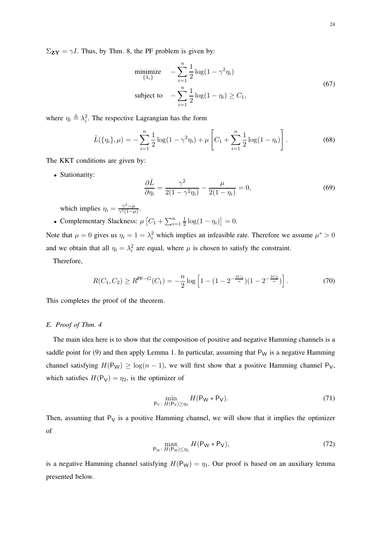$\Sigma_{\mathbf{Z}\mathbf{Y}} = \gamma I$ . Thus, by Thm. 8, the PF problem is given by:

$$
\begin{aligned}\n\text{minimize} & -\sum_{i=1}^{n} \frac{1}{2} \log(1 - \gamma^2 \eta_i) \\
\text{subject to} & -\sum_{i=1}^{n} \frac{1}{2} \log(1 - \eta_i) \ge C_1,\n\end{aligned} \tag{67}
$$

where  $\eta_i \triangleq \lambda_i^2$ . The respective Lagrangian has the form

$$
\tilde{L}(\{\eta_i\}, \mu) = -\sum_{i=1}^n \frac{1}{2} \log(1 - \gamma^2 \eta_i) + \mu \left[ C_1 + \sum_{i=1}^n \frac{1}{2} \log(1 - \eta_i) \right].
$$
\n(68)

The KKT conditions are given by:

• Stationarity:

$$
\frac{\partial \tilde{L}}{\partial \eta_i} = \frac{\gamma^2}{2(1 - \gamma^2 \eta_i)} - \frac{\mu}{2(1 - \eta_i)} = 0,\tag{69}
$$

which implies  $\eta_i = \frac{\gamma^2 - \mu}{\gamma^2 (1 - \mu)}$  $\frac{\gamma^2-\mu}{\gamma^2(1-\mu)}$ .

• Complementary Slackness:  $\mu \left[ C_1 + \sum_{i=1}^n \frac{1}{2} \right]$  $\frac{1}{2} \log(1 - \eta_i) \right] = 0.$ 

Note that  $\mu = 0$  gives us  $\eta_i = 1 = \lambda_i^2$  which implies an infeasible rate. Therefore we assume  $\mu^* > 0$ and we obtain that all  $\eta_i = \lambda_i^2$  are equal, where  $\mu$  is chosen to satisfy the constraint.

Therefore,

$$
R(C_1, C_2) \ge R^{\text{PF}-G}(C_1) = -\frac{n}{2}\log\left[1 - (1 - 2^{-\frac{2C_1}{n}})(1 - 2^{-\frac{2C_2}{n}})\right].\tag{70}
$$

This completes the proof of the theorem.

#### *E. Proof of Thm. 4*

The main idea here is to show that the composition of positive and negative Hamming channels is a saddle point for (9) and then apply Lemma 1. In particular, assuming that  $P_W$  is a negative Hamming channel satisfying  $H(P_W) \ge \log(n-1)$ , we will first show that a positive Hamming channel P<sub>V</sub>, which satisfies  $H(P_V) = \eta_2$ , is the optimizer of

$$
\min_{\mathsf{P}_{\mathsf{V}}\colon H(\mathsf{P}_{\mathsf{V}})\geq\eta_2} H(\mathsf{P}_{\mathsf{W}} * \mathsf{P}_{\mathsf{V}}). \tag{71}
$$

Then, assuming that  $P_V$  is a positive Hamming channel, we will show that it implies the optimizer of

$$
\max_{\mathsf{P}_{\mathsf{W}}\colon H(\mathsf{P}_{\mathsf{W}})\leq\eta_1} H(\mathsf{P}_{\mathsf{W}} * \mathsf{P}_{\mathsf{V}}),\tag{72}
$$

is a negative Hamming channel satisfying  $H(P_W) = \eta_1$ . Our proof is based on an auxiliary lemma presented below.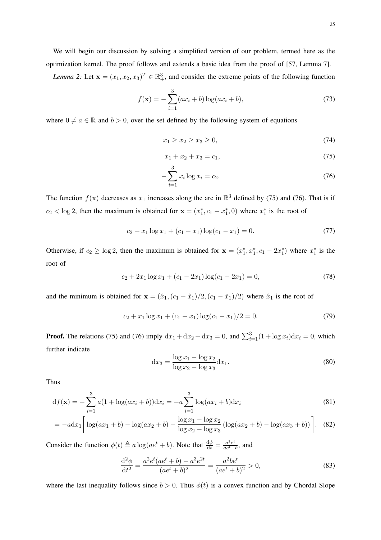We will begin our discussion by solving a simplified version of our problem, termed here as the optimization kernel. The proof follows and extends a basic idea from the proof of [57, Lemma 7].

*Lemma 2:* Let  $\mathbf{x} = (x_1, x_2, x_3)^T \in \mathbb{R}^3_+$ , and consider the extreme points of the following function

$$
f(\mathbf{x}) = -\sum_{i=1}^{3} (ax_i + b) \log(ax_i + b), \tag{73}
$$

where  $0 \neq a \in \mathbb{R}$  and  $b > 0$ , over the set defined by the following system of equations

$$
x_1 \ge x_2 \ge x_3 \ge 0,\tag{74}
$$

$$
x_1 + x_2 + x_3 = c_1,\t\t(75)
$$

$$
-\sum_{i=1}^{3} x_i \log x_i = c_2. \tag{76}
$$

The function  $f(\mathbf{x})$  decreases as  $x_1$  increases along the arc in  $\mathbb{R}^3$  defined by (75) and (76). That is if  $c_2 < \log 2$ , then the maximum is obtained for  $\mathbf{x} = (x_1^*, c_1 - x_1^*, 0)$  where  $x_1^*$  is the root of

$$
c_2 + x_1 \log x_1 + (c_1 - x_1) \log (c_1 - x_1) = 0. \tag{77}
$$

Otherwise, if  $c_2 \ge \log 2$ , then the maximum is obtained for  $\mathbf{x} = (x_1^*, x_1^*, c_1 - 2x_1^*)$  where  $x_1^*$  is the root of

$$
c_2 + 2x_1 \log x_1 + (c_1 - 2x_1) \log (c_1 - 2x_1) = 0,\t(78)
$$

and the minimum is obtained for  $\mathbf{x} = (\hat{x}_1, (c_1 - \hat{x}_1)/2, (c_1 - \hat{x}_1)/2)$  where  $\hat{x}_1$  is the root of

$$
c_2 + x_1 \log x_1 + (c_1 - x_1) \log (c_1 - x_1)/2 = 0. \tag{79}
$$

**Proof.** The relations (75) and (76) imply  $dx_1 + dx_2 + dx_3 = 0$ , and  $\sum_{i=1}^{3} (1 + \log x_i) dx_i = 0$ , which further indicate

$$
dx_3 = \frac{\log x_1 - \log x_2}{\log x_2 - \log x_3} dx_1.
$$
 (80)

Thus

$$
df(\mathbf{x}) = -\sum_{i=1}^{3} a(1 + \log(ax_i + b))dx_i = -a \sum_{i=1}^{3} \log(ax_i + b)dx_i
$$
\n(81)

$$
= -a\mathrm{d}x_1 \left[ \log(ax_1+b) - \log(ax_2+b) - \frac{\log x_1 - \log x_2}{\log x_2 - \log x_3} \left( \log(ax_2+b) - \log(ax_3+b) \right) \right]. \tag{82}
$$

Consider the function  $\phi(t) \triangleq a \log(a e^t + b)$ . Note that  $\frac{d\phi}{dt} = \frac{a^2 e^t}{a e^t + b}$  $\frac{a^2e^i}{ae^t+b}$ , and

$$
\frac{\mathrm{d}^2 \phi}{\mathrm{d}t^2} = \frac{a^2 e^t (ae^t + b) - a^3 e^{2t}}{(ae^t + b)^2} = \frac{a^2 be^t}{(ae^t + b)^2} > 0,\tag{83}
$$

where the last inequality follows since  $b > 0$ . Thus  $\phi(t)$  is a convex function and by Chordal Slope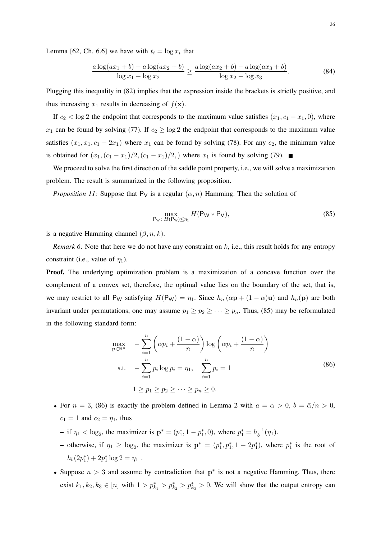Lemma [62, Ch. 6.6] we have with  $t_i = \log x_i$  that

$$
\frac{a\log(ax_1+b) - a\log(ax_2+b)}{\log x_1 - \log x_2} \ge \frac{a\log(ax_2+b) - a\log(ax_3+b)}{\log x_2 - \log x_3}.\tag{84}
$$

Plugging this inequality in (82) implies that the expression inside the brackets is strictly positive, and thus increasing  $x_1$  results in decreasing of  $f(\mathbf{x})$ .

If  $c_2 < \log 2$  the endpoint that corresponds to the maximum value satisfies  $(x_1, c_1 - x_1, 0)$ , where  $x_1$  can be found by solving (77). If  $c_2 \ge \log 2$  the endpoint that corresponds to the maximum value satisfies  $(x_1, x_1, c_1 - 2x_1)$  where  $x_1$  can be found by solving (78). For any  $c_2$ , the minimum value is obtained for  $(x_1,(c_1-x_1)/2,(c_1-x_1)/2)$ , where  $x_1$  is found by solving (79). ■

We proceed to solve the first direction of the saddle point property, i.e., we will solve a maximization problem. The result is summarized in the following proposition.

*Proposition 11:* Suppose that  $P_V$  is a regular  $(\alpha, n)$  Hamming. Then the solution of

$$
\max_{\mathsf{P}_{\mathsf{W}}\colon H(\mathsf{P}_{\mathsf{W}})\leq\eta_1} H(\mathsf{P}_{\mathsf{W}} * \mathsf{P}_{\mathsf{V}}),\tag{85}
$$

is a negative Hamming channel  $(\beta, n, k)$ .

*Remark 6:* Note that here we do not have any constraint on  $k$ , i.e., this result holds for any entropy constraint (i.e., value of  $\eta_1$ ).

Proof. The underlying optimization problem is a maximization of a concave function over the complement of a convex set, therefore, the optimal value lies on the boundary of the set, that is, we may restrict to all P<sub>W</sub> satisfying  $H(P_W) = \eta_1$ . Since  $h_n (\alpha \mathbf{p} + (1 - \alpha) \mathbf{u})$  and  $h_n(\mathbf{p})$  are both invariant under permutations, one may assume  $p_1 \geq p_2 \geq \cdots \geq p_n$ . Thus, (85) may be reformulated in the following standard form:

$$
\max_{\mathbf{p}\in\mathbb{R}^n} \quad -\sum_{i=1}^n \left(\alpha p_i + \frac{(1-\alpha)}{n}\right) \log\left(\alpha p_i + \frac{(1-\alpha)}{n}\right)
$$
\n
$$
\text{s.t.} \quad -\sum_{i=1}^n p_i \log p_i = \eta_1, \quad \sum_{i=1}^n p_i = 1
$$
\n
$$
1 \ge p_1 \ge p_2 \ge \dots \ge p_n \ge 0.
$$
\n
$$
(86)
$$

- For  $n = 3$ , (86) is exactly the problem defined in Lemma 2 with  $a = \alpha > 0$ ,  $b = \overline{\alpha}/n > 0$ ,  $c_1 = 1$  and  $c_2 = \eta_1$ , thus
	- if  $\eta_1 < \log_2$ , the maximizer is  $\mathbf{p}^* = (p_1^*, 1 p_1^*, 0)$ , where  $p_1^* = h_b^{-1}$  $b^{-1}(\eta_1)$ .
	- − otherwise, if  $η_1 ≥ log_2$ , the maximizer is  $\mathbf{p}^* = (p_1^*, p_1^*, 1 2p_1^*)$ , where  $p_1^*$  is the root of  $h_b(2p_1^*) + 2p_1^* \log 2 = \eta_1$ .
- Suppose  $n > 3$  and assume by contradiction that  $p^*$  is not a negative Hamming. Thus, there exist  $k_1, k_2, k_3 \in [n]$  with  $1 > p_{k_1}^* > p_{k_2}^* > p_{k_3}^* > 0$ . We will show that the output entropy can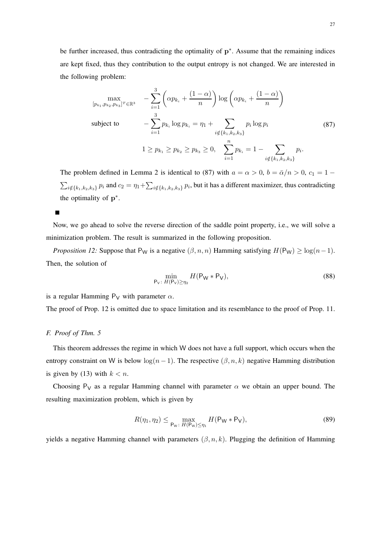be further increased, thus contradicting the optimality of p<sup>\*</sup>. Assume that the remaining indices are kept fixed, thus they contribution to the output entropy is not changed. We are interested in the following problem:

$$
\max_{[p_{k_1}, p_{k_2}, p_{k_3}]^T \in \mathbb{R}^3} \quad -\sum_{i=1}^3 \left( \alpha p_{k_i} + \frac{(1-\alpha)}{n} \right) \log \left( \alpha p_{k_i} + \frac{(1-\alpha)}{n} \right)
$$
\nsubject to\n
$$
-\sum_{i=1}^3 p_{k_i} \log p_{k_i} = \eta_1 + \sum_{i \notin \{k_1, k_2, k_3\}} p_i \log p_i
$$
\n
$$
1 \ge p_{k_1} \ge p_{k_2} \ge p_{k_3} \ge 0, \quad \sum_{i=1}^n p_{k_i} = 1 - \sum_{i \notin \{k_1, k_2, k_3\}} p_i.
$$
\n(87)

The problem defined in Lemma 2 is identical to (87) with  $a = \alpha > 0$ ,  $b = \bar{\alpha}/n > 0$ ,  $c_1 = 1 \sum_{i\notin\{k_1,k_2,k_3\}} p_i$  and  $c_2=\eta_1+\sum_{i\notin\{k_1,k_2,k_3\}} p_i$ , but it has a different maximizer, thus contradicting the optimality of  $p^*$ .

Now, we go ahead to solve the reverse direction of the saddle point property, i.e., we will solve a minimization problem. The result is summarized in the following proposition.

*Proposition 12:* Suppose that P<sub>W</sub> is a negative  $(\beta, n, n)$  Hamming satisfying  $H(P_W) \ge \log(n-1)$ . Then, the solution of

$$
\min_{\mathsf{P}_{\mathsf{V}}:\ H(\mathsf{P}_{\mathsf{V}})\geq\eta_2}H(\mathsf{P}_{\mathsf{W}}*\mathsf{P}_{\mathsf{V}}),\tag{88}
$$

is a regular Hamming  $P_V$  with parameter  $\alpha$ .

The proof of Prop. 12 is omitted due to space limitation and its resemblance to the proof of Prop. 11.

#### *F. Proof of Thm. 5*

This theorem addresses the regime in which W does not have a full support, which occurs when the entropy constraint on W is below  $\log(n-1)$ . The respective  $(\beta, n, k)$  negative Hamming distribution is given by (13) with  $k < n$ .

Choosing P<sub>V</sub> as a regular Hamming channel with parameter  $\alpha$  we obtain an upper bound. The resulting maximization problem, which is given by

$$
R(\eta_1, \eta_2) \le \max_{\mathsf{P}_{\mathsf{W}}:\ H(\mathsf{P}_{\mathsf{W}}) \le \eta_1} H(\mathsf{P}_{\mathsf{W}} * \mathsf{P}_{\mathsf{V}}),\tag{89}
$$

yields a negative Hamming channel with parameters  $(\beta, n, k)$ . Plugging the definition of Hamming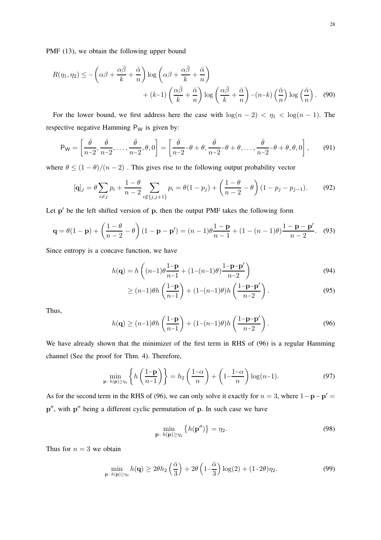$$
R(\eta_1, \eta_2) \le -\left(\alpha \beta + \frac{\alpha \bar{\beta}}{k} + \frac{\bar{\alpha}}{n}\right) \log \left(\alpha \beta + \frac{\alpha \bar{\beta}}{k} + \frac{\bar{\alpha}}{n}\right) + (k-1)\left(\frac{\alpha \bar{\beta}}{k} + \frac{\bar{\alpha}}{n}\right) \log \left(\frac{\alpha \bar{\beta}}{k} + \frac{\bar{\alpha}}{n}\right) - (n-k)\left(\frac{\bar{\alpha}}{n}\right) \log \left(\frac{\bar{\alpha}}{n}\right). \tag{90}
$$

For the lower bound, we first address here the case with  $\log(n - 2) < \eta_1 < \log(n - 1)$ . The respective negative Hamming  $P_W$  is given by:

$$
P_W = \left[\frac{\bar{\theta}}{n-2}, \frac{\bar{\theta}}{n-2}, \dots, \frac{\bar{\theta}}{n-2}, \theta, 0\right] = \left[\frac{\bar{\theta}}{n-2} - \theta + \theta, \frac{\bar{\theta}}{n-2} - \theta + \theta, \dots, \frac{\bar{\theta}}{n-2} - \theta + \theta, \theta, 0\right],\tag{91}
$$

where  $\theta \leq (1 - \theta)/(n - 2)$ . This gives rise to the following output probability vector

$$
[\mathbf{q}]_j = \theta \sum_{i \neq j} p_i + \frac{1 - \theta}{n - 2} \sum_{i \notin \{j, j+1\}} p_i = \theta (1 - p_j) + \left(\frac{1 - \theta}{n - 2} - \theta\right) (1 - p_j - p_{j-1}).
$$
 (92)

Let p' be the left shifted version of p, then the output PMF takes the following form

$$
\mathbf{q} = \theta(1 - \mathbf{p}) + \left(\frac{1 - \theta}{n - 2} - \theta\right)(1 - \mathbf{p} - \mathbf{p}') = (n - 1)\theta \frac{1 - \mathbf{p}}{n - 1} + (1 - (n - 1)\theta) \frac{1 - \mathbf{p} - \mathbf{p}'}{n - 2}.
$$
 (93)

Since entropy is a concave function, we have

$$
h(\mathbf{q}) = h\left( (n-1)\theta \frac{1-\mathbf{p}}{n-1} + (1-(n-1)\theta) \frac{1-\mathbf{p}-\mathbf{p}'}{n-2} \right)
$$
(94)

$$
\geq (n-1)\theta h\left(\frac{1-\mathbf{p}}{n-1}\right) + (1-(n-1)\theta)h\left(\frac{1-\mathbf{p}-\mathbf{p}'}{n-2}\right). \tag{95}
$$

Thus,

$$
h(\mathbf{q}) \ge (n-1)\theta h\left(\frac{1-\mathbf{p}}{n-1}\right) + (1-(n-1)\theta)h\left(\frac{1-\mathbf{p}-\mathbf{p}'}{n-2}\right). \tag{96}
$$

We have already shown that the minimizer of the first term in RHS of (96) is a regular Hamming channel (See the proof for Thm. 4). Therefore,

$$
\min_{\mathbf{p}:\;h(\mathbf{p})\geq\eta_2}\left\{h\left(\frac{1-\mathbf{p}}{n-1}\right)\right\} = h_2\left(\frac{1-\alpha}{n}\right) + \left(1-\frac{1-\alpha}{n}\right)\log(n-1). \tag{97}
$$

As for the second term in the RHS of (96), we can only solve it exactly for  $n = 3$ , where  $1 - \mathbf{p} - \mathbf{p}' =$ p'', with p'' being a different cyclic permutation of p. In such case we have

$$
\min_{\mathbf{p}:\;h(\mathbf{p})\geq\eta_2}\left\{h(\mathbf{p}'')\right\}=\eta_2.\tag{98}
$$

Thus for  $n = 3$  we obtain

$$
\min_{\mathbf{p}:\;h(\mathbf{p})\geq\eta_2} h(\mathbf{q}) \geq 2\theta h_2\left(\frac{\bar{\alpha}}{3}\right) + 2\theta \left(1 - \frac{\bar{\alpha}}{3}\right) \log(2) + (1 - 2\theta)\eta_2. \tag{99}
$$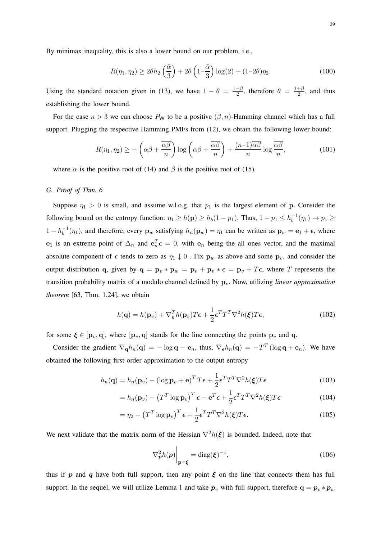By minimax inequality, this is also a lower bound on our problem, i.e.,

$$
R(\eta_1, \eta_2) \ge 2\theta h_2\left(\frac{\bar{\alpha}}{3}\right) + 2\theta \left(1 - \frac{\bar{\alpha}}{3}\right) \log(2) + (1 - 2\theta)\eta_2. \tag{100}
$$

Using the standard notation given in (13), we have  $1 - \theta = \frac{1-\beta}{2}$  $\frac{-\beta}{2}$ , therefore  $\theta = \frac{1+\beta}{2}$  $\frac{+1}{2}$ , and thus establishing the lower bound.

For the case  $n > 3$  we can choose  $P_W$  to be a positive  $(\beta, n)$ -Hamming channel which has a full support. Plugging the respective Hamming PMFs from (12), we obtain the following lower bound:

$$
R(\eta_1, \eta_2) \ge -\left(\alpha \beta + \frac{\overline{\alpha \beta}}{n}\right) \log \left(\alpha \beta + \frac{\overline{\alpha \beta}}{n}\right) + \frac{(n-1)\overline{\alpha \beta}}{n} \log \frac{\overline{\alpha \beta}}{n},\tag{101}
$$

where  $\alpha$  is the positive root of (14) and  $\beta$  is the positive root of (15).

#### *G. Proof of Thm. 6*

Suppose  $\eta_1 > 0$  is small, and assume w.l.o.g. that  $p_1$  is the largest element of p. Consider the following bound on the entropy function:  $\eta_1 \ge h(\mathbf{p}) \ge h_b(1 - p_1)$ . Thus,  $1 - p_1 \le h_b^{-1}$  $_{b}^{-1}(\eta_{1}) \to p_{1} \geq$  $1 - h_b^{-1}$  $b_0^{-1}(\eta_1)$ , and therefore, every  $\mathbf{p}_w$  satisfying  $h_n(\mathbf{p}_w) = \eta_1$  can be written as  $\mathbf{p}_w = \mathbf{e}_1 + \epsilon$ , where  $e_1$  is an extreme point of  $\Delta_n$  and  $e_n^T \epsilon = 0$ , with  $e_n$  being the all ones vector, and the maximal absolute component of  $\epsilon$  tends to zero as  $\eta_1 \downarrow 0$ . Fix  $\mathbf{p}_w$  as above and some  $\mathbf{p}_v$ , and consider the output distribution q, given by  $\mathbf{q} = \mathbf{p}_v * \mathbf{p}_w = \mathbf{p}_v + \mathbf{p}_v * \boldsymbol{\epsilon} = \mathbf{p}_v + T\boldsymbol{\epsilon}$ , where T represents the transition probability matrix of a modulo channel defined by  $\mathbf{p}_v$ . Now, utilizing *linear approximation theorem* [63, Thm. 1.24], we obtain

$$
h(\mathbf{q}) = h(\mathbf{p}_v) + \nabla_{\epsilon}^T h(\mathbf{p}_v) T \epsilon + \frac{1}{2} \epsilon^T T^T \nabla^2 h(\xi) T \epsilon,
$$
\n(102)

for some  $\xi \in [p_v, q]$ , where  $[p_v, q]$  stands for the line connecting the points  $p_v$  and q.

Consider the gradient  $\nabla_{\bf q}h_n({\bf q}) = -\log {\bf q} - {\bf e}_n$ , thus,  $\nabla_{\bf \epsilon}h_n({\bf q}) = -T^T(\log {\bf q} + {\bf e}_n)$ . We have obtained the following first order approximation to the output entropy

$$
h_n(\mathbf{q}) = h_n(\mathbf{p}_v) - (\log \mathbf{p}_v + \mathbf{e})^T T \boldsymbol{\epsilon} + \frac{1}{2} \boldsymbol{\epsilon}^T T^T \nabla^2 h(\boldsymbol{\xi}) T \boldsymbol{\epsilon}
$$
 (103)

$$
= h_n(\mathbf{p}_v) - \left(T^T \log \mathbf{p}_v\right)^T \boldsymbol{\epsilon} - \mathbf{e}^T \boldsymbol{\epsilon} + \frac{1}{2} \boldsymbol{\epsilon}^T T^T \nabla^2 h(\boldsymbol{\xi}) T \boldsymbol{\epsilon}
$$
(104)

$$
= \eta_2 - \left(T^T \log \mathbf{p}_v\right)^T \boldsymbol{\epsilon} + \frac{1}{2} \boldsymbol{\epsilon}^T T^T \nabla^2 h(\boldsymbol{\xi}) T \boldsymbol{\epsilon}.
$$
 (105)

We next validate that the matrix norm of the Hessian  $\nabla^2 h(\xi)$  is bounded. Indeed, note that

$$
\nabla_{\boldsymbol{p}}^2 h(\boldsymbol{p})\Big|_{\mathbf{p}=\boldsymbol{\xi}} = \text{diag}(\boldsymbol{\xi})^{-1},\tag{106}
$$

thus if p and q have both full support, then any point  $\xi$  on the line that connects them has full support. In the sequel, we will utilize Lemma 1 and take  $p_v$  with full support, therefore  $q = p_v * p_w$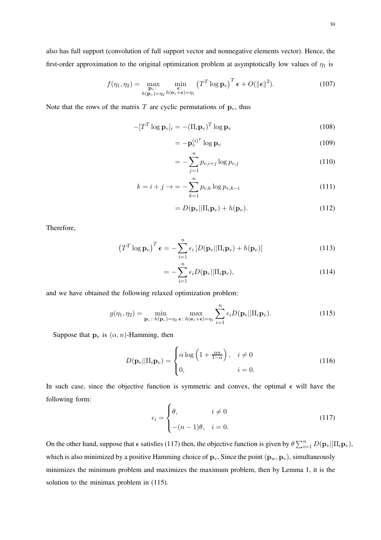also has full support (convolution of full support vector and nonnegative elements vector). Hence, the first-order approximation to the original optimization problem at asymptotically low values of  $\eta_1$  is

$$
f(\eta_1, \eta_2) = \max_{\substack{\mathbf{p}_v : \\ h(\mathbf{p}_v) = \eta_2}} \min_{\substack{\mathbf{\epsilon} : \\ h(\mathbf{e}_1 + \mathbf{\epsilon}) = \eta_1}} (T^T \log \mathbf{p}_v)^T \mathbf{\epsilon} + O(\|\mathbf{\epsilon}\|^2).
$$
 (107)

Note that the rows of the matrix  $T$  are cyclic permutations of  $\mathbf{p}_v$ , thus

$$
-[TT \log \mathbf{p}_v]_i = -(\Pi_i \mathbf{p}_v)^T \log \mathbf{p}_v
$$
\n(108)

$$
= -\mathbf{p}_v^{(i)^T} \log \mathbf{p}_v \tag{109}
$$

$$
= -\sum_{j=1}^{n} p_{v,i+j} \log p_{v,j} \tag{110}
$$

$$
k = i + j \to -\sum_{k=1}^{n} p_{v,k} \log p_{v,k-i}
$$
\n(111)

$$
=D(\mathbf{p}_v||\Pi_i\mathbf{p}_v)+h(\mathbf{p}_v).
$$
 (112)

Therefore,

$$
\left(T^T \log \mathbf{p}_v\right)^T \boldsymbol{\epsilon} = -\sum_{i=1}^n \epsilon_i \left[D(\mathbf{p}_v || \Pi_i \mathbf{p}_v) + h(\mathbf{p}_v)\right]
$$
(113)

$$
= -\sum_{i=1}^{n} \epsilon_i D(\mathbf{p}_v || \Pi_i \mathbf{p}_v), \qquad (114)
$$

and we have obtained the following relaxed optimization problem:

$$
g(\eta_1, \eta_2) = \min_{\mathbf{p}_v \colon h(\mathbf{p}_v) = \eta_2 \ \epsilon \colon h(\mathbf{e}_1 + \epsilon) = \eta_1} \sum_{i=1}^n \epsilon_i D(\mathbf{p}_v || \Pi_i \mathbf{p}_v).
$$
 (115)

Suppose that  $\mathbf{p}_v$  is  $(\alpha, n)$ -Hamming, then

$$
D(\mathbf{p}_v||\Pi_i \mathbf{p}_v) = \begin{cases} \alpha \log \left(1 + \frac{\alpha n}{1 - \alpha}\right), & i \neq 0 \\ 0, & i = 0. \end{cases}
$$
(116)

In such case, since the objective function is symmetric and convex, the optimal  $\epsilon$  will have the following form:

$$
\epsilon_i = \begin{cases} \theta, & i \neq 0 \\ -(n-1)\theta, & i = 0. \end{cases}
$$
 (117)

On the other hand, suppose that  $\epsilon$  satisfies (117) then, the objective function is given by  $\theta \sum_{i=1}^{n} D(\mathbf{p}_v || \Pi_i \mathbf{p}_v)$ , which is also minimized by a positive Hamming choice of  $\mathbf{p}_v$ . Since the point  $(\mathbf{p}_w, \mathbf{p}_v)$ , simultaneously minimizes the minimum problem and maximizes the maximum problem, then by Lemma 1, it is the solution to the minimax problem in (115).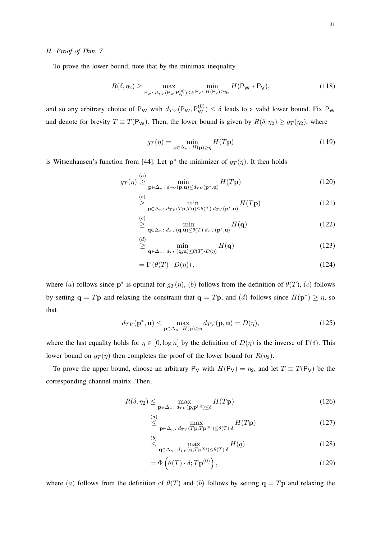To prove the lower bound, note that by the minimax inequality

$$
R(\delta, \eta_2) \ge \max_{\mathsf{P}_{\mathsf{W}} \colon d_{TV}(\mathsf{P}_{\mathsf{W}}, \mathsf{P}_{\mathsf{W}}^{(0)}) \le \delta} \min_{\mathsf{P}_{\mathsf{V}} \colon H(\mathsf{P}_{\mathsf{V}}) \ge \eta_2} H(\mathsf{P}_{\mathsf{W}} * \mathsf{P}_{\mathsf{V}}),\tag{118}
$$

and so any arbitrary choice of  $P_W$  with  $d_{TV}(P_W, P_W^{(0)}) \le \delta$  leads to a valid lower bound. Fix  $P_W$ and denote for brevity  $T \equiv T(P_W)$ . Then, the lower bound is given by  $R(\delta, \eta_2) \geq g_T(\eta_2)$ , where

$$
g_T(\eta) = \min_{\mathbf{p} \in \Delta_n \colon H(\mathbf{p}) \ge \eta} H(T\mathbf{p})
$$
(119)

is Witsenhausen's function from [44]. Let  $p^*$  the minimizer of  $g_T(\eta)$ . It then holds

$$
g_T(\eta) \stackrel{(a)}{\geq} \min_{\mathbf{p} \in \Delta_n \colon d_{TV}(\mathbf{p}, \mathbf{u}) \leq d_{TV}(\mathbf{p}^*, \mathbf{u})} H(T\mathbf{p})
$$
(120)

$$
\geq \min_{\mathbf{p}\in\Delta_n\colon d_{TV}(T\mathbf{p},T\mathbf{u})\leq\theta(T)\cdot d_{TV}(\mathbf{p}^*,\mathbf{u})} H(T\mathbf{p})
$$
\n(121)

$$
\overset{(c)}{\geq} \min_{\mathbf{q} \in \Delta_n \colon d_{TV}(\mathbf{q}, \mathbf{u}) \leq \theta(T) \cdot d_{TV}(\mathbf{p}^*, \mathbf{u})} H(\mathbf{q}) \tag{122}
$$

$$
\stackrel{(d)}{\geq} \min_{\mathbf{q} \in \Delta_n \colon d_{TV}(\mathbf{q}, \mathbf{u}) \leq \theta(T) \cdot D(\eta)} H(\mathbf{q}) \tag{123}
$$

$$
= \Gamma\left(\theta(T)\cdot D(\eta)\right),\tag{124}
$$

where (a) follows since  $p^*$  is optimal for  $g_T(\eta)$ , (b) follows from the definition of  $\theta(T)$ , (c) follows by setting  $\mathbf{q} = T\mathbf{p}$  and relaxing the constraint that  $\mathbf{q} = T\mathbf{p}$ , and (*d*) follows since  $H(\mathbf{p}^*) \ge \eta$ , so that

$$
d_{TV}(\mathbf{p}^*, \mathbf{u}) \le \max_{\mathbf{p} \in \Delta_n : H(\mathbf{p}) \ge \eta} d_{TV}(\mathbf{p}, \mathbf{u}) = D(\eta),
$$
\n(125)

where the last equality holds for  $\eta \in [0, \log n]$  by the definition of  $D(\eta)$  is the inverse of  $\Gamma(\delta)$ . This lower bound on  $g_T(\eta)$  then completes the proof of the lower bound for  $R(\eta_2)$ .

To prove the upper bound, choose an arbitrary  $P_V$  with  $H(P_V) = \eta_2$ , and let  $T \equiv T(P_V)$  be the corresponding channel matrix. Then,

$$
R(\delta, \eta_2) \le \max_{\mathbf{p} \in \Delta_n \colon d_{TV}(\mathbf{p}, \mathbf{p}^{(0)}) \le \delta} H(T\mathbf{p})
$$
\n(126)

$$
\stackrel{(a)}{\leq} \max_{\mathbf{p} \in \Delta_n \colon d_{TV}(T\mathbf{p}, T\mathbf{p}^{(0)}) \leq \theta(T) \cdot \delta} H(T\mathbf{p})
$$
\n(127)

$$
\stackrel{(b)}{\leq} \max_{\mathbf{q} \in \Delta_n \colon d_{TV}(\mathbf{q}, T\mathbf{p}^{(0)}) \leq \theta(T) \cdot \delta} H(q) \tag{128}
$$

$$
= \Phi\left(\theta(T) \cdot \delta; T\mathbf{p}^{(0)}\right),\tag{129}
$$

where (a) follows from the definition of  $\theta(T)$  and (b) follows by setting  $q = Tp$  and relaxing the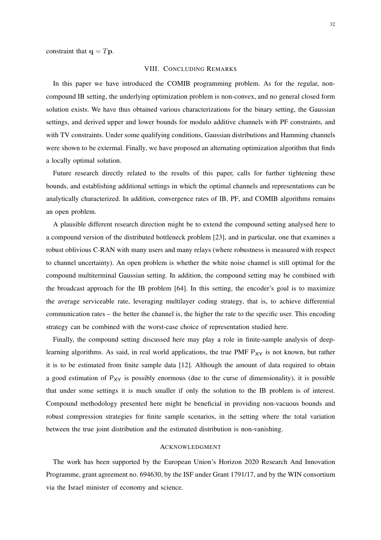constraint that  $q = Tp$ .

#### VIII. CONCLUDING REMARKS

In this paper we have introduced the COMIB programming problem. As for the regular, noncompound IB setting, the underlying optimization problem is non-convex, and no general closed form solution exists. We have thus obtained various characterizations for the binary setting, the Gaussian settings, and derived upper and lower bounds for modulo additive channels with PF constraints, and with TV constraints. Under some qualifying conditions, Gaussian distributions and Hamming channels were shown to be extermal. Finally, we have proposed an alternating optimization algorithm that finds a locally optimal solution.

Future research directly related to the results of this paper, calls for further tightening these bounds, and establishing additional settings in which the optimal channels and representations can be analytically characterized. In addition, convergence rates of IB, PF, and COMIB algorithms remains an open problem.

A plausible different research direction might be to extend the compound setting analysed here to a compound version of the distributed bottleneck problem [23], and in particular, one that examines a robust oblivious C-RAN with many users and many relays (where robustness is measured with respect to channel uncertainty). An open problem is whether the white noise channel is still optimal for the compound multiterminal Gaussian setting. In addition, the compound setting may be combined with the broadcast approach for the IB problem [64]. In this setting, the encoder's goal is to maximize the average serviceable rate, leveraging multilayer coding strategy, that is, to achieve differential communication rates – the better the channel is, the higher the rate to the specific user. This encoding strategy can be combined with the worst-case choice of representation studied here.

Finally, the compound setting discussed here may play a role in finite-sample analysis of deeplearning algorithms. As said, in real world applications, the true PMF  $P_{XY}$  is not known, but rather it is to be estimated from finite sample data [12]. Although the amount of data required to obtain a good estimation of  $P_{XY}$  is possibly enormous (due to the curse of dimensionality), it is possible that under some settings it is much smaller if only the solution to the IB problem is of interest. Compound methodology presented here might be beneficial in providing non-vacuous bounds and robust compression strategies for finite sample scenarios, in the setting where the total variation between the true joint distribution and the estimated distribution is non-vanishing.

## ACKNOWLEDGMENT

The work has been supported by the European Union's Horizon 2020 Research And Innovation Programme, grant agreement no. 694630, by the ISF under Grant 1791/17, and by the WIN consortium via the Israel minister of economy and science.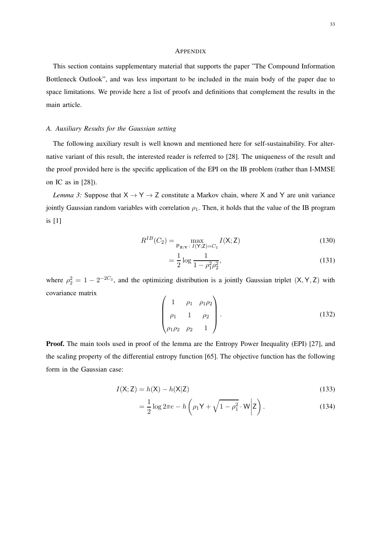#### **APPENDIX**

This section contains supplementary material that supports the paper "The Compound Information Bottleneck Outlook", and was less important to be included in the main body of the paper due to space limitations. We provide here a list of proofs and definitions that complement the results in the main article.

# *A. Auxiliary Results for the Gaussian setting*

The following auxiliary result is well known and mentioned here for self-sustainability. For alternative variant of this result, the interested reader is referred to [28]. The uniqueness of the result and the proof provided here is the specific application of the EPI on the IB problem (rather than I-MMSE on IC as in [28]).

*Lemma 3:* Suppose that  $X \rightarrow Y \rightarrow Z$  constitute a Markov chain, where X and Y are unit variance jointly Gaussian random variables with correlation  $\rho_1$ . Then, it holds that the value of the IB program is [1]

$$
R^{IB}(C_2) = \max_{\mathsf{P}_{\mathbf{Z}|\mathbf{Y}} \,:\, I(\mathsf{Y};\mathsf{Z}) = C_2} I(\mathsf{X};\mathsf{Z})\tag{130}
$$

$$
= \frac{1}{2} \log \frac{1}{1 - \rho_1^2 \rho_2^2},\tag{131}
$$

where  $\rho_2^2 = 1 - 2^{-2C_2}$ , and the optimizing distribution is a jointly Gaussian triplet  $(X, Y, Z)$  with covariance matrix

$$
\begin{pmatrix} 1 & \rho_1 & \rho_1 \rho_2 \\ \rho_1 & 1 & \rho_2 \\ \rho_1 \rho_2 & \rho_2 & 1 \end{pmatrix} . \tag{132}
$$

Proof. The main tools used in proof of the lemma are the Entropy Power Inequality (EPI) [27], and the scaling property of the differential entropy function [65]. The objective function has the following form in the Gaussian case:

$$
I(X;Z) = h(X) - h(X|Z)
$$
\n(133)

$$
= \frac{1}{2}\log 2\pi e - h\left(\rho_1 \mathsf{Y} + \sqrt{1-\rho_1^2} \cdot \mathsf{W}\middle| \mathsf{Z}\right). \tag{134}
$$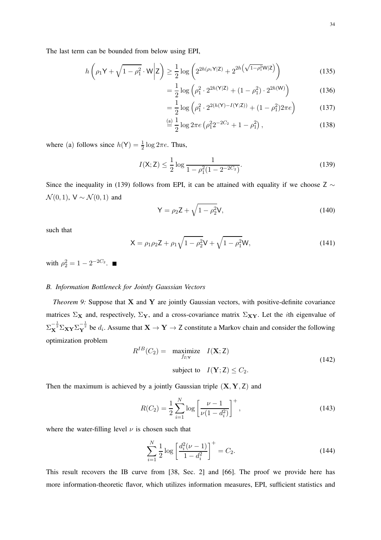The last term can be bounded from below using EPI,

$$
h\left(\rho_1 \mathsf{Y} + \sqrt{1 - \rho_1^2} \cdot \mathsf{W} \middle| \mathsf{Z}\right) \ge \frac{1}{2} \log \left( 2^{2h(\rho_1 \mathsf{Y} \middle| \mathsf{Z})} + 2^{2h\left(\sqrt{1 - \rho_1^2} \mathsf{W} \middle| \mathsf{Z}\right)}\right) \tag{135}
$$

$$
= \frac{1}{2} \log \left( \rho_1^2 \cdot 2^{2h(\mathsf{Y}|\mathsf{Z})} + (1 - \rho_1^2) \cdot 2^{2h(\mathsf{W})} \right) \tag{136}
$$

$$
= \frac{1}{2} \log \left( \rho_1^2 \cdot 2^{2(h(\mathsf{Y}) - I(\mathsf{Y}; \mathsf{Z}))} + (1 - \rho_1^2) 2\pi e \right) \tag{137}
$$

$$
\stackrel{\text{(a)}}{=} \frac{1}{2} \log 2\pi e \left( \rho_1^2 2^{-2C_2} + 1 - \rho_1^2 \right),\tag{138}
$$

where (a) follows since  $h(Y) = \frac{1}{2} \log 2\pi e$ . Thus,

$$
I(\mathsf{X}; \mathsf{Z}) \le \frac{1}{2} \log \frac{1}{1 - \rho_1^2 (1 - 2^{-2C_2})}.
$$
\n(139)

Since the inequality in (139) follows from EPI, it can be attained with equality if we choose Z  $\sim$  $\mathcal{N}(0, 1)$ ,  $V \sim \mathcal{N}(0, 1)$  and

$$
Y = \rho_2 Z + \sqrt{1 - \rho_2^2} V,
$$
\n(140)

such that

$$
X = \rho_1 \rho_2 Z + \rho_1 \sqrt{1 - \rho_2^2} V + \sqrt{1 - \rho_1^2} W,
$$
\n(141)

with  $\rho_2^2 = 1 - 2^{-2C_2}$ .

#### *B. Information Bottleneck for Jointly Gaussian Vectors*

*Theorem 9:* Suppose that **X** and **Y** are jointly Gaussian vectors, with positive-definite covariance matrices  $\Sigma_X$  and, respectively,  $\Sigma_Y$ , and a cross-covariance matrix  $\Sigma_{XY}$ . Let the *i*th eigenvalue of  $\Sigma_X^{-\frac{1}{2}} \Sigma_{\bf XY} \Sigma_Y^{-\frac{1}{2}}$  be  $d_i$ . Assume that  ${\bf X} \to {\bf Y} \to {\bf Z}$  constitute a Markov chain and consider the following optimization problem

$$
R^{IB}(C_2) = \underset{f_{Z|Y}}{\text{maximize}} \quad I(\mathbf{X}; \mathbf{Z})
$$
  
subject to  $I(\mathbf{Y}; \mathbf{Z}) \le C_2$ . (142)

Then the maximum is achieved by a jointly Gaussian triple  $(X, Y, Z)$  and

$$
R(C_2) = \frac{1}{2} \sum_{i=1}^{N} \log \left[ \frac{\nu - 1}{\nu (1 - d_i^2)} \right]^+,
$$
\n(143)

where the water-filling level  $\nu$  is chosen such that

$$
\sum_{i=1}^{N} \frac{1}{2} \log \left[ \frac{d_i^2(\nu - 1)}{1 - d_i^2} \right]^+ = C_2.
$$
 (144)

This result recovers the IB curve from [38, Sec. 2] and [66]. The proof we provide here has more information-theoretic flavor, which utilizes information measures, EPI, sufficient statistics and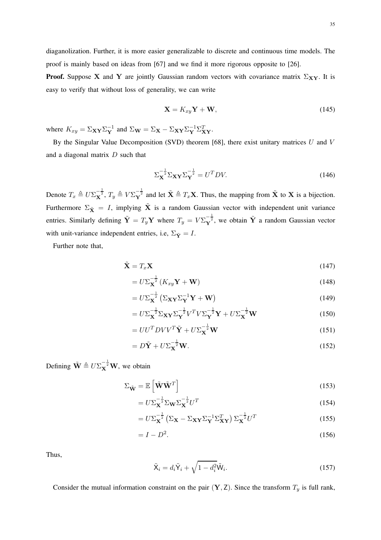diaganolization. Further, it is more easier generalizable to discrete and continuous time models. The proof is mainly based on ideas from [67] and we find it more rigorous opposite to [26].

**Proof.** Suppose X and Y are jointly Gaussian random vectors with covariance matrix  $\Sigma_{XY}$ . It is easy to verify that without loss of generality, we can write

$$
\mathbf{X} = K_{xy}\mathbf{Y} + \mathbf{W},\tag{145}
$$

where  $K_{xy} = \sum_{\mathbf{X} \mathbf{Y}} \sum_{\mathbf{Y}}^{-1}$  and  $\Sigma_{\mathbf{W}} = \sum_{\mathbf{X}} - \sum_{\mathbf{X} \mathbf{Y}} \sum_{\mathbf{Y}}^{-1} \sum_{\mathbf{X} \mathbf{Y}}^T$ .

By the Singular Value Decomposition (SVD) theorem [68], there exist unitary matrices  $U$  and  $V$ and a diagonal matrix D such that

$$
\Sigma_{\mathbf{X}}^{-\frac{1}{2}} \Sigma_{\mathbf{X}\mathbf{Y}} \Sigma_{\mathbf{Y}}^{-\frac{1}{2}} = U^T D V. \tag{146}
$$

Denote  $T_x \triangleq U \Sigma_X^{-\frac{1}{2}}$ ,  $T_y \triangleq V \Sigma_Y^{-\frac{1}{2}}$  and let  $\tilde{\mathbf{X}} \triangleq T_x \mathbf{X}$ . Thus, the mapping from  $\tilde{\mathbf{X}}$  to  $\mathbf{X}$  is a bijection. Furthermore  $\Sigma_{\tilde{\mathbf{X}}} = I$ , implying  $\tilde{\mathbf{X}}$  is a random Gaussian vector with independent unit variance entries. Similarly defining  $\tilde{\bf Y} = T_y {\bf Y}$  where  $T_y = V \Sigma_{\bf Y}^{-\frac{1}{2}}$ , we obtain  $\tilde{\bf Y}$  a random Gaussian vector with unit-variance independent entries, i.e,  $\Sigma_{\tilde{Y}} = I$ .

Further note that,

$$
\tilde{\mathbf{X}} = T_x \mathbf{X} \tag{147}
$$

$$
=U\Sigma_{\mathbf{X}}^{-\frac{1}{2}}\left(K_{xy}\mathbf{Y}+\mathbf{W}\right)
$$
\n(148)

$$
=U\Sigma_{\mathbf{X}}^{-\frac{1}{2}}\left(\Sigma_{\mathbf{X}\mathbf{Y}}\Sigma_{\mathbf{Y}}^{-1}\mathbf{Y}+\mathbf{W}\right)
$$
 (149)

$$
=U\Sigma_{\mathbf{X}}^{-\frac{1}{2}}\Sigma_{\mathbf{X}\mathbf{Y}}\Sigma_{\mathbf{Y}}^{-\frac{1}{2}}V^{T}V\Sigma_{\mathbf{Y}}^{-\frac{1}{2}}\mathbf{Y}+U\Sigma_{\mathbf{X}}^{-\frac{1}{2}}\mathbf{W}
$$
\n(150)

$$
=UU^T D V V^T \tilde{\mathbf{Y}} + U \Sigma_{\mathbf{X}}^{-\frac{1}{2}} \mathbf{W}
$$
 (151)

$$
= D\tilde{\mathbf{Y}} + U\Sigma_{\mathbf{X}}^{-\frac{1}{2}}\mathbf{W}.
$$
 (152)

Defining  $\tilde{W} \triangleq U \Sigma_X^{-\frac{1}{2}} W$ , we obtain

$$
\Sigma_{\tilde{\mathbf{W}}} = \mathbb{E}\left[\tilde{\mathbf{W}}\tilde{\mathbf{W}}^T\right]
$$
\n(153)

$$
=U\Sigma_{\mathbf{X}}^{-\frac{1}{2}}\Sigma_{\mathbf{W}}\Sigma_{\mathbf{X}}^{-\frac{1}{2}}U^{T}
$$
\n(154)

$$
= U\Sigma_{\mathbf{X}}^{-\frac{1}{2}} \left( \Sigma_{\mathbf{X}} - \Sigma_{\mathbf{X}\mathbf{Y}} \Sigma_{\mathbf{Y}}^{-1} \Sigma_{\mathbf{X}\mathbf{Y}}^{T} \right) \Sigma_{\mathbf{X}}^{-\frac{1}{2}} U^{T}
$$
(155)

$$
= I - D^2. \tag{156}
$$

Thus,

$$
\tilde{\mathbf{X}}_i = d_i \tilde{\mathbf{Y}}_i + \sqrt{1 - d_i^2} \tilde{\mathbf{W}}_i.
$$
\n(157)

Consider the mutual information constraint on the pair  $(Y, Z)$ . Since the transform  $T_y$  is full rank,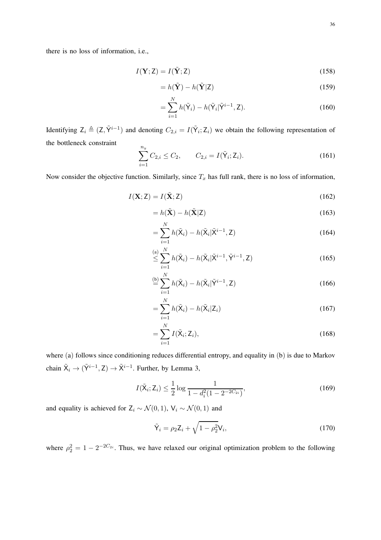there is no loss of information, i.e.,

$$
I(\mathbf{Y}; \mathbf{Z}) = I(\tilde{\mathbf{Y}}; \mathbf{Z})
$$
\n(158)

$$
= h(\tilde{\mathbf{Y}}) - h(\tilde{\mathbf{Y}}|\mathbf{Z})
$$
\n(159)

$$
=\sum_{i=1}^{N} h(\tilde{\mathsf{Y}}_i) - h(\tilde{\mathsf{Y}}_i|\tilde{\mathsf{Y}}^{i-1}, \mathsf{Z}).\tag{160}
$$

Identifying  $Z_i \triangleq (Z, \tilde{Y}^{i-1})$  and denoting  $C_{2,i} = I(\tilde{Y}_i; Z_i)$  we obtain the following representation of the bottleneck constraint  $\overline{v}$ 

$$
\sum_{i=1}^{n_y} C_{2,i} \le C_2, \qquad C_{2,i} = I(\tilde{Y}_i; Z_i). \tag{161}
$$

Now consider the objective function. Similarly, since  $T_x$  has full rank, there is no loss of information,

$$
I(\mathbf{X}; \mathbf{Z}) = I(\tilde{\mathbf{X}}; \mathbf{Z})
$$
\n(162)

$$
= h(\tilde{\mathbf{X}}) - h(\tilde{\mathbf{X}}|\mathbf{Z})
$$
\n(163)

$$
=\sum_{i=1}^{N} h(\tilde{\mathbf{X}}_i) - h(\tilde{\mathbf{X}}_i | \tilde{\mathbf{X}}^{i-1}, \mathbf{Z})
$$
\n(164)

$$
\overset{\text{(a)}}{\leq} \sum_{i=1}^{N} h(\tilde{\mathbf{X}}_i) - h(\tilde{\mathbf{X}}_i | \tilde{\mathbf{X}}^{i-1}, \tilde{\mathbf{Y}}^{i-1}, \mathbf{Z}) \tag{165}
$$

$$
\stackrel{\text{(b)}}{=} \sum_{i=1}^{N} h(\tilde{\mathbf{X}}_i) - h(\tilde{\mathbf{X}}_i | \tilde{\mathbf{Y}}^{i-1}, \mathbf{Z}) \tag{166}
$$

$$
=\sum_{i=1}^{N} h(\tilde{\mathbf{X}}_i) - h(\tilde{\mathbf{X}}_i | \mathbf{Z}_i)
$$
\n(167)

$$
=\sum_{i=1}^{N} I(\tilde{\mathbf{X}}_i; \mathbf{Z}_i),\tag{168}
$$

where (a) follows since conditioning reduces differential entropy, and equality in (b) is due to Markov chain  $\tilde{X}_i \rightarrow (\tilde{Y}^{i-1}, Z) \rightarrow \tilde{X}^{i-1}$ . Further, by Lemma 3,

$$
I(\tilde{\mathbf{X}}_i; \mathbf{Z}_i) \le \frac{1}{2} \log \frac{1}{1 - d_i^2 (1 - 2^{-2C_{2i}})},
$$
\n(169)

and equality is achieved for  $Z_i \sim \mathcal{N}(0, 1)$ ,  $V_i \sim \mathcal{N}(0, 1)$  and

$$
\tilde{\mathsf{Y}}_i = \rho_2 \mathsf{Z}_i + \sqrt{1 - \rho_2^2} \mathsf{V}_i,\tag{170}
$$

where  $\rho_2^2 = 1 - 2^{-2C_{2i}}$ . Thus, we have relaxed our original optimization problem to the following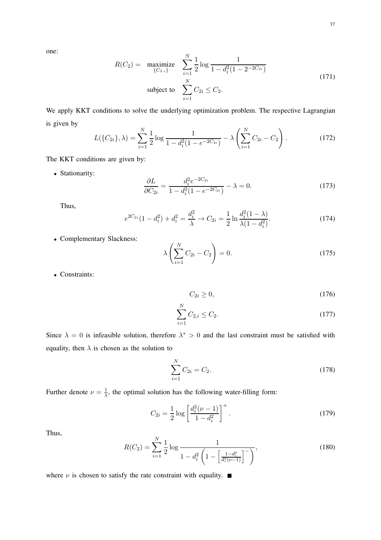$$
R(C_2) = \underset{\{C_{2,i}\}}{\text{maximize}} \quad \sum_{i=1}^{N} \frac{1}{2} \log \frac{1}{1 - d_i^2 (1 - 2^{-2C_{2i}})}
$$
\n
$$
\text{subject to} \quad \sum_{i=1}^{N} C_{2i} \le C_2. \tag{171}
$$

We apply KKT conditions to solve the underlying optimization problem. The respective Lagrangian is given by

$$
L(\{C_{2i}\}, \lambda) = \sum_{i=1}^{N} \frac{1}{2} \log \frac{1}{1 - d_i^2 (1 - e^{-2C_{2i}})} - \lambda \left(\sum_{i=1}^{N} C_{2i} - C_2\right).
$$
 (172)

The KKT conditions are given by:

• Stationarity:

$$
\frac{\partial L}{\partial C_{2i}} = \frac{d_i^2 e^{-2C_{2i}}}{1 - d_i^2 (1 - e^{-2C_{2i}})} - \lambda = 0.
$$
\n(173)

Thus,

$$
e^{2C_{2i}}(1-d_i^2) + d_i^2 = \frac{d_i^2}{\lambda} \to C_{2i} = \frac{1}{2} \ln \frac{d_i^2(1-\lambda)}{\lambda(1-d_i^2)}.
$$
 (174)

• Complementary Slackness:

$$
\lambda \left( \sum_{i=1}^{N} C_{2i} - C_2 \right) = 0.
$$
 (175)

• Constraints:

$$
C_{2i} \ge 0,\tag{176}
$$

$$
\sum_{i=1}^{N} C_{2,i} \le C_2. \tag{177}
$$

Since  $\lambda = 0$  is infeasible solution, therefore  $\lambda^* > 0$  and the last constraint must be satisfied with equality, then  $\lambda$  is chosen as the solution to

$$
\sum_{i=1}^{N} C_{2i} = C_2.
$$
\n(178)

Further denote  $\nu = \frac{1}{\lambda}$  $\frac{1}{\lambda}$ , the optimal solution has the following water-filling form:

$$
C_{2i} = \frac{1}{2} \log \left[ \frac{d_i^2(\nu - 1)}{1 - d_i^2} \right]^+.
$$
 (179)

Thus,

$$
R(C_2) = \sum_{i=1}^{N} \frac{1}{2} \log \frac{1}{1 - d_i^2 \left( 1 - \left[ \frac{1 - d_i^2}{d_i^2(\nu - 1)} \right]^-\right)},
$$
(180)

where  $\nu$  is chosen to satisfy the rate constraint with equality.  $\blacksquare$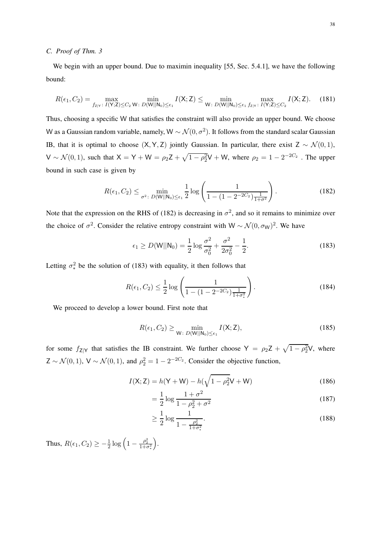#### *C. Proof of Thm. 3*

We begin with an upper bound. Due to maximin inequality [55, Sec. 5.4.1], we have the following bound:

$$
R(\epsilon_1, C_2) = \max_{f_{Z|Y}: I(Y; Z) \le C_2} \min_{W: D(W||N_0) \le \epsilon_1} I(X; Z) \le \min_{W: D(W||N_0) \le \epsilon_1} \max_{f_{Z|Y}: I(Y; Z) \le C_2} I(X; Z).
$$
 (181)

Thus, choosing a specific W that satisfies the constraint will also provide an upper bound. We choose W as a Gaussian random variable, namely, W  $\sim \mathcal{N}(0, \sigma^2)$ . It follows from the standard scalar Gaussian IB, that it is optimal to choose  $(X, Y, Z)$  jointly Gaussian. In particular, there exist Z ~  $\mathcal{N}(0, 1)$ ,  $V \sim \mathcal{N}(0, 1)$ , such that  $X = Y + W = \rho_2 Z + \sqrt{1 - \rho_2^2} V + W$ , where  $\rho_2 = 1 - 2^{-2C_2}$ . The upper bound in such case is given by

$$
R(\epsilon_1, C_2) \le \min_{\sigma^2 \colon D(\mathsf{W}||\mathsf{N}_0) \le \epsilon_1} \frac{1}{2} \log \left( \frac{1}{1 - (1 - 2^{-2C_2}) \frac{1}{1 + \sigma^2}} \right). \tag{182}
$$

Note that the expression on the RHS of (182) is decreasing in  $\sigma^2$ , and so it remains to minimize over the choice of  $\sigma^2$ . Consider the relative entropy constraint with W ~  $\mathcal{N}(0, \sigma_W)^2$ . We have

$$
\epsilon_1 \ge D(W||N_0) = \frac{1}{2} \log \frac{\sigma^2}{\sigma_0^2} + \frac{\sigma^2}{2\sigma_0^2} - \frac{1}{2}.
$$
 (183)

Letting  $\sigma_*^2$  be the solution of (183) with equality, it then follows that

$$
R(\epsilon_1, C_2) \le \frac{1}{2} \log \left( \frac{1}{1 - (1 - 2^{-2C_2}) \frac{1}{1 + \sigma_*^2}} \right).
$$
 (184)

We proceed to develop a lower bound. First note that

$$
R(\epsilon_1, C_2) \ge \min_{\mathsf{W}: \ D(\mathsf{W}||\mathsf{N}_0) \le \epsilon_1} I(\mathsf{X}; \mathsf{Z}),\tag{185}
$$

for some  $f_{Z|Y}$  that satisfies the IB constraint. We further choose  $Y = \rho_2 Z + \sqrt{1 - \rho_2^2} V$ , where  $Z \sim \mathcal{N}(0, 1)$ ,  $V \sim \mathcal{N}(0, 1)$ , and  $\rho_2^2 = 1 - 2^{-2C_2}$ . Consider the objective function,

$$
I(X; Z) = h(Y + W) - h(\sqrt{1 - \rho_2^2}V + W)
$$
\n(186)

$$
=\frac{1}{2}\log\frac{1+\sigma^2}{1-\rho_2^2+\sigma^2}
$$
\n(187)

$$
\geq \frac{1}{2} \log \frac{1}{1 - \frac{\rho_2^2}{1 + \sigma_*^2}}.
$$
\n(188)

Thus,  $R(\epsilon_1, C_2) \geq -\frac{1}{2} \log \left( 1 - \frac{\rho_2^2}{1 + \sigma_*^2} \right)$ .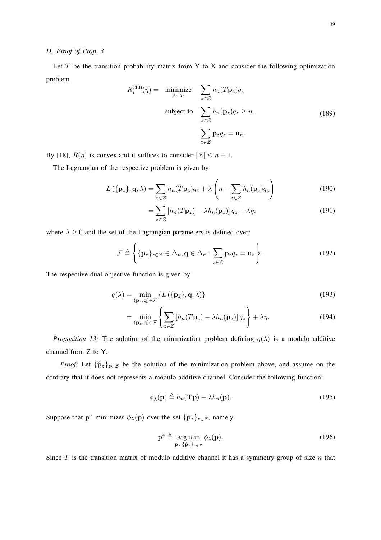#### *D. Proof of Prop. 3*

Let  $T$  be the transition probability matrix from  $Y$  to  $X$  and consider the following optimization problem

$$
R_T^{\text{CEB}}(\eta) = \underset{\mathbf{p}_z, q_z}{\text{minimize}} \sum_{z \in \mathcal{Z}} h_n(T_{\mathbf{p}_z}) q_z
$$
  
subject to 
$$
\sum_{z \in \mathcal{Z}} h_n(\mathbf{p}_z) q_z \ge \eta,
$$

$$
\sum_{z \in \mathcal{Z}} \mathbf{p}_z q_z = \mathbf{u}_n.
$$
 (189)

By [18],  $R(\eta)$  is convex and it suffices to consider  $|\mathcal{Z}| \leq n+1$ .

The Lagrangian of the respective problem is given by

$$
L(\{\mathbf{p}_z\}, \mathbf{q}, \lambda) = \sum_{z \in \mathcal{Z}} h_n(T\mathbf{p}_z)q_z + \lambda \left(\eta - \sum_{z \in \mathcal{Z}} h_n(\mathbf{p}_z)q_z\right)
$$
(190)

$$
= \sum_{z \in \mathcal{Z}} \left[ h_n(T \mathbf{p}_z) - \lambda h_n(\mathbf{p}_z) \right] q_z + \lambda \eta,
$$
\n(191)

where  $\lambda \geq 0$  and the set of the Lagrangian parameters is defined over:

$$
\mathcal{F} \triangleq \left\{ \{ \mathbf{p}_z \}_{z \in \mathcal{Z}} \in \Delta_n, \mathbf{q} \in \Delta_n : \sum_{z \in \mathcal{Z}} \mathbf{p}_z q_z = \mathbf{u}_n \right\}.
$$
 (192)

The respective dual objective function is given by

$$
q(\lambda) = \min_{(\mathbf{p}_z, \mathbf{q}) \in \mathcal{F}} \{ L(\{\mathbf{p}_z\}, \mathbf{q}, \lambda) \}
$$
(193)

$$
= \min_{(\mathbf{p}_z, \mathbf{q}) \in \mathcal{F}} \left\{ \sum_{z \in \mathcal{Z}} \left[ h_n(T\mathbf{p}_z) - \lambda h_n(\mathbf{p}_z) \right] q_z \right\} + \lambda \eta. \tag{194}
$$

*Proposition 13:* The solution of the minimization problem defining  $q(\lambda)$  is a modulo additive channel from Z to Y.

*Proof:* Let  $\{\hat{\mathbf{p}}_z\}_{z\in\mathcal{Z}}$  be the solution of the minimization problem above, and assume on the contrary that it does not represents a modulo additive channel. Consider the following function:

$$
\phi_{\lambda}(\mathbf{p}) \triangleq h_n(\mathbf{Tp}) - \lambda h_n(\mathbf{p}).
$$
\n(195)

Suppose that  $p^*$  minimizes  $\phi_{\lambda}(p)$  over the set  $\{\hat{p}_z\}_{z \in \mathcal{Z}}$ , namely,

$$
\mathbf{p}^* \triangleq \underset{\mathbf{p}: \{\hat{\mathbf{p}}_z\}_{z \in \mathcal{Z}}}{\arg \min} \phi_\lambda(\mathbf{p}). \tag{196}
$$

Since  $T$  is the transition matrix of modulo additive channel it has a symmetry group of size  $n$  that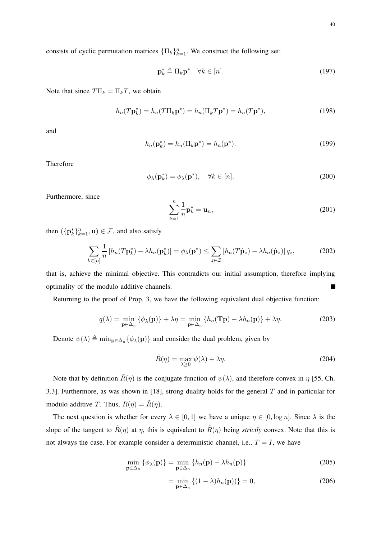consists of cyclic permutation matrices  $\{\Pi_k\}_{k=1}^n$ . We construct the following set:

$$
\mathbf{p}_k^* \triangleq \Pi_k \mathbf{p}^* \quad \forall k \in [n]. \tag{197}
$$

Note that since  $T\Pi_k = \Pi_k T$ , we obtain

$$
h_n(T\mathbf{p}_k^*) = h_n(T\Pi_k \mathbf{p}^*) = h_n(\Pi_k T \mathbf{p}^*) = h_n(T\mathbf{p}^*),\tag{198}
$$

and

$$
h_n(\mathbf{p}_k^*) = h_n(\Pi_k \mathbf{p}^*) = h_n(\mathbf{p}^*).
$$
\n(199)

Therefore

$$
\phi_{\lambda}(\mathbf{p}_k^*) = \phi_{\lambda}(\mathbf{p}^*), \quad \forall k \in [n]. \tag{200}
$$

Furthermore, since

$$
\sum_{k=1}^{n} \frac{1}{n} \mathbf{p}_k^* = \mathbf{u}_n,
$$
\n(201)

then  $(\{\mathbf{p}_k^*\}_{k=1}^n, \mathbf{u}) \in \mathcal{F}$ , and also satisfy

$$
\sum_{k\in[n]} \frac{1}{n} \left[ h_n(T\mathbf{p}_k^*) - \lambda h_n(\mathbf{p}_k^*) \right] = \phi_\lambda(\mathbf{p}^*) \le \sum_{z\in\mathcal{Z}} \left[ h_n(T\hat{\mathbf{p}}_z) - \lambda h_n(\hat{\mathbf{p}}_z) \right] q_z,\tag{202}
$$

that is, achieve the minimal objective. This contradicts our initial assumption, therefore implying optimality of the modulo additive channels.  $\blacksquare$ 

Returning to the proof of Prop. 3, we have the following equivalent dual objective function:

$$
q(\lambda) = \min_{\mathbf{p} \in \Delta_n} \{ \phi_{\lambda}(\mathbf{p}) \} + \lambda \eta = \min_{\mathbf{p} \in \Delta_n} \{ h_n(\mathbf{T}\mathbf{p}) - \lambda h_n(\mathbf{p}) \} + \lambda \eta.
$$
 (203)

Denote  $\psi(\lambda) \triangleq \min_{\mathbf{p} \in \Delta_n} {\{\phi_{\lambda}(\mathbf{p})\}}$  and consider the dual problem, given by

$$
\tilde{R}(\eta) = \max_{\lambda \ge 0} \psi(\lambda) + \lambda \eta.
$$
\n(204)

Note that by definition  $\tilde{R}(\eta)$  is the conjugate function of  $\psi(\lambda)$ , and therefore convex in  $\eta$  [55, Ch. 3.3]. Furthermore, as was shown in [18], strong duality holds for the general  $T$  and in particular for modulo additive T. Thus,  $R(\eta) = \tilde{R}(\eta)$ .

The next question is whether for every  $\lambda \in [0,1]$  we have a unique  $\eta \in [0, \log n]$ . Since  $\lambda$  is the slope of the tangent to  $\tilde{R}(\eta)$  at  $\eta$ , this is equivalent to  $\tilde{R}(\eta)$  being *strictly* convex. Note that this is not always the case. For example consider a deterministic channel, i.e.,  $T = I$ , we have

$$
\min_{\mathbf{p}\in\Delta_n} \left\{ \phi_{\lambda}(\mathbf{p}) \right\} = \min_{\mathbf{p}\in\Delta_n} \left\{ h_n(\mathbf{p}) - \lambda h_n(\mathbf{p}) \right\} \tag{205}
$$

$$
= \min_{\mathbf{p} \in \Delta_n} \left\{ (1 - \lambda) h_n(\mathbf{p}) \right\} = 0,
$$
\n(206)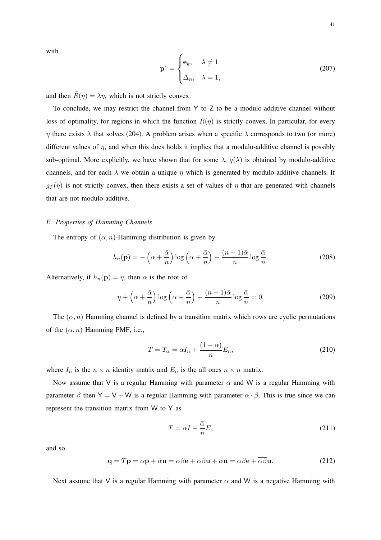with

$$
\mathbf{p}^* = \begin{cases} \mathbf{e}_k, & \lambda \neq 1 \\ \Delta_n, & \lambda = 1, \end{cases}
$$
 (207)

and then  $\tilde{R}(\eta) = \lambda \eta$ , which is not strictly convex.

To conclude, we may restrict the channel from Y to Z to be a modulo-additive channel without loss of optimality, for regions in which the function  $R(\eta)$  is strictly convex. In particular, for every  $\eta$  there exists  $\lambda$  that solves (204). A problem arises when a specific  $\lambda$  corresponds to two (or more) different values of  $\eta$ , and when this does holds it implies that a modulo-additive channel is possibly sub-optimal. More explicitly, we have shown that for some  $\lambda$ ,  $q(\lambda)$  is obtained by modulo-additive channels, and for each  $\lambda$  we obtain a unique  $\eta$  which is generated by modulo-additive channels. If  $g_T(\eta)$  is not strictly convex, then there exists a set of values of  $\eta$  that are generated with channels that are not modulo-additive.

#### *E. Properties of Hamming Channels*

The entropy of  $(\alpha, n)$ -Hamming distribution is given by

$$
h_n(\mathbf{p}) = -\left(\alpha + \frac{\bar{\alpha}}{n}\right) \log\left(\alpha + \frac{\bar{\alpha}}{n}\right) - \frac{(n-1)\bar{\alpha}}{n} \log\frac{\bar{\alpha}}{n}.\tag{208}
$$

Alternatively, if  $h_n(\mathbf{p}) = \eta$ , then  $\alpha$  is the root of

$$
\eta + \left(\alpha + \frac{\bar{\alpha}}{n}\right) \log\left(\alpha + \frac{\bar{\alpha}}{n}\right) + \frac{(n-1)\bar{\alpha}}{n} \log\frac{\bar{\alpha}}{n} = 0. \tag{209}
$$

The  $(\alpha, n)$  Hamming channel is defined by a transition matrix which rows are cyclic permutations of the  $(\alpha, n)$  Hamming PMF, i.e.,

$$
T = T_{\alpha} = \alpha I_n + \frac{(1 - \alpha)}{n} E_n,
$$
\n(210)

where  $I_n$  is the  $n \times n$  identity matrix and  $E_n$  is the all ones  $n \times n$  matrix.

Now assume that V is a regular Hamming with parameter  $\alpha$  and W is a regular Hamming with parameter  $\beta$  then Y = V + W is a regular Hamming with parameter  $\alpha \cdot \beta$ . This is true since we can represent the transition matrix from W to Y as

$$
T = \alpha I + \frac{\bar{\alpha}}{n} E,\tag{211}
$$

and so

$$
\mathbf{q} = T\mathbf{p} = \alpha \mathbf{p} + \bar{\alpha}\mathbf{u} = \alpha\beta\mathbf{e} + \alpha\bar{\beta}\mathbf{u} + \bar{\alpha}\mathbf{u} = \alpha\beta\mathbf{e} + \overline{\alpha\beta}\mathbf{u}.
$$
 (212)

Next assume that V is a regular Hamming with parameter  $\alpha$  and W is a negative Hamming with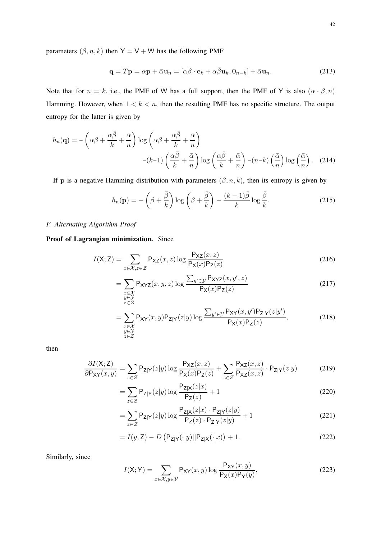parameters  $(\beta, n, k)$  then Y = V + W has the following PMF

$$
\mathbf{q} = T\mathbf{p} = \alpha \mathbf{p} + \bar{\alpha} \mathbf{u}_n = [\alpha \beta \cdot \mathbf{e}_k + \alpha \bar{\beta} \mathbf{u}_k, \mathbf{0}_{n-k}] + \bar{\alpha} \mathbf{u}_n. \tag{213}
$$

Note that for  $n = k$ , i.e., the PMF of W has a full support, then the PMF of Y is also  $(\alpha \cdot \beta, n)$ Hamming. However, when  $1 < k < n$ , then the resulting PMF has no specific structure. The output entropy for the latter is given by

$$
h_n(\mathbf{q}) = -\left(\alpha\beta + \frac{\alpha\bar{\beta}}{k} + \frac{\bar{\alpha}}{n}\right) \log\left(\alpha\beta + \frac{\alpha\bar{\beta}}{k} + \frac{\bar{\alpha}}{n}\right)
$$

$$
-(k-1)\left(\frac{\alpha\bar{\beta}}{k} + \frac{\bar{\alpha}}{n}\right) \log\left(\frac{\alpha\bar{\beta}}{k} + \frac{\bar{\alpha}}{n}\right) - (n-k)\left(\frac{\bar{\alpha}}{n}\right) \log\left(\frac{\bar{\alpha}}{n}\right). (214)
$$

If **p** is a negative Hamming distribution with parameters  $(\beta, n, k)$ , then its entropy is given by

$$
h_n(\mathbf{p}) = -\left(\beta + \frac{\bar{\beta}}{k}\right) \log\left(\beta + \frac{\bar{\beta}}{k}\right) - \frac{(k-1)\bar{\beta}}{k} \log\frac{\bar{\beta}}{k}.\tag{215}
$$

# *F. Alternating Algorithm Proof*

Proof of Lagrangian minimization. Since

$$
I(X; Z) = \sum_{x \in \mathcal{X}, z \in \mathcal{Z}} P_{\mathsf{X}Z}(x, z) \log \frac{P_{\mathsf{X}Z}(x, z)}{P_{\mathsf{X}}(x) P_{\mathsf{Z}}(z)}
$$
(216)

$$
= \sum_{\substack{x \in \mathcal{X} \\ y \in \mathcal{Y}}} \mathsf{P}_{\mathsf{XYZ}}(x, y, z) \log \frac{\sum_{y' \in \mathcal{Y}} \mathsf{P}_{\mathsf{XYZ}}(x, y', z)}{\mathsf{P}_{\mathsf{X}}(x) \mathsf{P}_{\mathsf{Z}}(z)} \tag{217}
$$

$$
z \in \mathcal{Z}
$$
  
= 
$$
\sum_{\substack{x \in \mathcal{X} \\ y \in \mathcal{Y} \\ z \in \mathcal{Z}}} P_{XY}(x, y) P_{Z|Y}(z|y) \log \frac{\sum_{y' \in \mathcal{Y}} P_{XY}(x, y') P_{Z|Y}(z|y')}{P_X(x) P_Z(z)},
$$
 (218)

then

$$
\frac{\partial I(\mathsf{X};\mathsf{Z})}{\partial \mathsf{P}_{\mathsf{XY}}(x,y)} = \sum_{z \in \mathcal{Z}} \mathsf{P}_{\mathsf{Z}|\mathsf{Y}}(z|y) \log \frac{\mathsf{P}_{\mathsf{X}\mathsf{Z}}(x,z)}{\mathsf{P}_{\mathsf{X}}(x)\mathsf{P}_{\mathsf{Z}}(z)} + \sum_{z \in \mathcal{Z}} \frac{\mathsf{P}_{\mathsf{X}\mathsf{Z}}(x,z)}{\mathsf{P}_{\mathsf{X}\mathsf{Z}}(x,z)} \cdot \mathsf{P}_{\mathsf{Z}|\mathsf{Y}}(z|y) \tag{219}
$$

$$
=\sum_{z\in\mathcal{Z}}\mathsf{P}_{\mathsf{Z}|\mathsf{Y}}(z|y)\log\frac{\mathsf{P}_{\mathsf{Z}|\mathsf{X}}(z|x)}{\mathsf{P}_{\mathsf{Z}}(z)}+1\tag{220}
$$

$$
= \sum_{z \in \mathcal{Z}} \mathsf{P}_{\mathsf{Z}|\mathsf{Y}}(z|y) \log \frac{\mathsf{P}_{\mathsf{Z}|\mathsf{X}}(z|x) \cdot \mathsf{P}_{\mathsf{Z}|\mathsf{Y}}(z|y)}{\mathsf{P}_{\mathsf{Z}}(z) \cdot \mathsf{P}_{\mathsf{Z}|\mathsf{Y}}(z|y)} + 1 \tag{221}
$$

$$
= I(y, \mathbf{Z}) - D\left(\mathsf{P}_{\mathbf{Z}|\mathbf{Y}}(\cdot|y)||\mathsf{P}_{\mathbf{Z}|\mathbf{X}}(\cdot|x)\right) + 1.
$$
\n(222)

Similarly, since

$$
I(X;Y) = \sum_{x \in \mathcal{X}, y \in \mathcal{Y}} P_{XY}(x, y) \log \frac{P_{XY}(x, y)}{P_X(x)P_Y(y)},
$$
\n(223)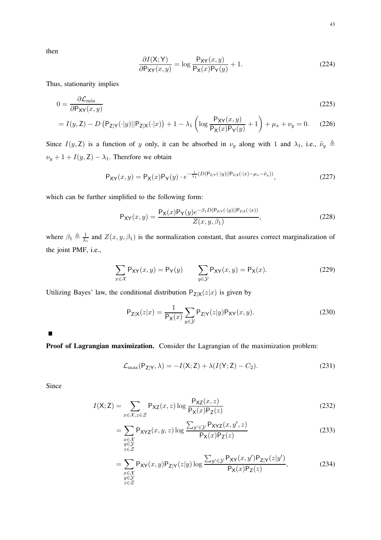then

$$
\frac{\partial I(\mathsf{X}; \mathsf{Y})}{\partial \mathsf{P}_{\mathsf{X}\mathsf{Y}}(x, y)} = \log \frac{\mathsf{P}_{\mathsf{X}\mathsf{Y}}(x, y)}{\mathsf{P}_{\mathsf{X}}(x)\mathsf{P}_{\mathsf{Y}}(y)} + 1.
$$
\n(224)

Thus, stationarity implies

$$
0 = \frac{\partial \mathcal{L}_{\min}}{\partial P_{XY}(x, y)}
$$
(225)

$$
= I(y, Z) - D \left( P_{Z|Y}(\cdot|y) || P_{Z|X}(\cdot|x) \right) + 1 - \lambda_1 \left( \log \frac{P_{XY}(x, y)}{P_X(x)P_Y(y)} + 1 \right) + \mu_x + \nu_y = 0. \tag{226}
$$

Since  $I(y, Z)$  is a function of y only, it can be absorbed in  $\nu_y$  along with 1 and  $\lambda_1$ , i.e.,  $\tilde{\nu}_y \triangleq$  $\nu_y + 1 + I(y, Z) - \lambda_1$ . Therefore we obtain

$$
P_{XY}(x,y) = P_X(x)P_Y(y) \cdot e^{-\frac{1}{\lambda_1}(D(P_{Z|Y}(\cdot|y)||P_{Z|X}(\cdot|x) - \mu_x - \tilde{\nu}_y))},
$$
\n(227)

which can be further simplified to the following form:

$$
P_{XY}(x,y) = \frac{P_X(x)P_Y(y)e^{-\beta_1 D(P_{Z|Y}(\cdot|y)||P_{Z|X}(\cdot|x))}}{Z(x,y,\beta_1)},
$$
\n(228)

where  $\beta_1 \triangleq \frac{1}{\lambda_1}$  and  $Z(x, y, \beta_1)$  is the normalization constant, that assures correct marginalization of the joint PMF, i.e.,

$$
\sum_{x \in \mathcal{X}} \mathsf{P}_{\mathsf{XY}}(x, y) = \mathsf{P}_{\mathsf{Y}}(y) \qquad \sum_{y \in \mathcal{Y}} \mathsf{P}_{\mathsf{XY}}(x, y) = \mathsf{P}_{\mathsf{X}}(x). \tag{229}
$$

Utilizing Bayes' law, the conditional distribution  $P_{Z|X}(z|x)$  is given by

$$
P_{Z|X}(z|x) = \frac{1}{P_X(x)} \sum_{y \in \mathcal{Y}} P_{Z|Y}(z|y) P_{XY}(x, y).
$$
 (230)

 $\blacksquare$ 

Proof of Lagrangian maximization. Consider the Lagrangian of the maximization problem:

$$
\mathcal{L}_{\text{max}}(\mathsf{P}_{\mathsf{Z}|\mathsf{Y}}, \lambda) = -I(\mathsf{X}; \mathsf{Z}) + \lambda (I(\mathsf{Y}; \mathsf{Z}) - C_2). \tag{231}
$$

Since

$$
I(X; Z) = \sum_{x \in \mathcal{X}, z \in \mathcal{Z}} P_{\mathsf{X}Z}(x, z) \log \frac{P_{\mathsf{X}Z}(x, z)}{P_{\mathsf{X}}(x) P_{\mathsf{Z}}(z)}
$$
(232)

$$
= \sum_{\substack{x \in \mathcal{X} \\ y \in \mathcal{Y}}} \mathsf{P}_{\mathsf{XYZ}}(x, y, z) \log \frac{\sum_{y' \in \mathcal{Y}} \mathsf{P}_{\mathsf{XYZ}}(x, y', z)}{\mathsf{P}_{\mathsf{X}}(x) \mathsf{P}_{\mathsf{Z}}(z)}
$$
(233)

$$
z \in \mathcal{Z}
$$
  
= 
$$
\sum_{\substack{x \in \mathcal{X} \\ y \in \mathcal{Y}}} P_{XY}(x, y) P_{Z|Y}(z|y) \log \frac{\sum_{y' \in \mathcal{Y}} P_{XY}(x, y') P_{Z|Y}(z|y')}{P_X(x) P_Z(z)},
$$
 (234)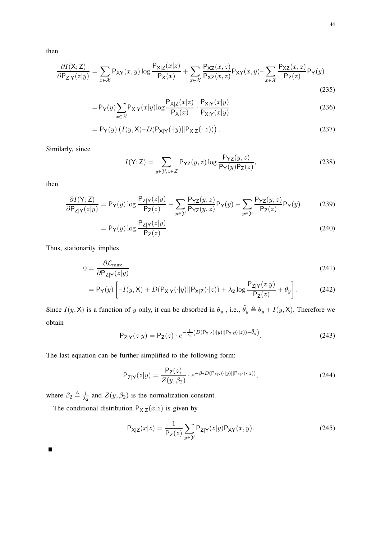then

$$
\frac{\partial I(\mathsf{X};\mathsf{Z})}{\partial \mathsf{P}_{\mathsf{Z}|\mathsf{Y}}(z|y)} = \sum_{x \in \mathcal{X}} \mathsf{P}_{\mathsf{X}\mathsf{Y}}(x,y) \log \frac{\mathsf{P}_{\mathsf{X}|\mathsf{Z}}(x|z)}{\mathsf{P}_{\mathsf{X}}(x)} + \sum_{x \in \mathcal{X}} \frac{\mathsf{P}_{\mathsf{X}\mathsf{Z}}(x,z)}{\mathsf{P}_{\mathsf{X}\mathsf{Z}}(x,z)} \mathsf{P}_{\mathsf{X}\mathsf{Y}}(x,y) - \sum_{x \in \mathcal{X}} \frac{\mathsf{P}_{\mathsf{X}\mathsf{Z}}(x,z)}{\mathsf{P}_{\mathsf{Z}}(z)} \mathsf{P}_{\mathsf{Y}}(y) \tag{235}
$$

$$
=P_Y(y)\sum_{x\in\mathcal{X}}P_{X|Y}(x|y)\log\frac{P_{X|Z}(x|z)}{P_X(x)}\cdot\frac{P_{X|Y}(x|y)}{P_{X|Y}(x|y)}
$$
(236)

$$
= \mathsf{P}_{\mathsf{Y}}(y) \left( I(y, \mathsf{X}) - D(\mathsf{P}_{\mathsf{X}|\mathsf{Y}}(\cdot|y)||\mathsf{P}_{\mathsf{X}|\mathsf{Z}}(\cdot|z)) \right). \tag{237}
$$

Similarly, since

$$
I(Y; Z) = \sum_{y \in \mathcal{Y}, z \in \mathcal{Z}} \mathsf{P}_{\mathsf{YZ}}(y, z) \log \frac{\mathsf{P}_{\mathsf{YZ}}(y, z)}{\mathsf{P}_{\mathsf{Y}}(y)\mathsf{P}_{\mathsf{Z}}(z)},
$$
(238)

then

$$
\frac{\partial I(\mathsf{Y};\mathsf{Z})}{\partial \mathsf{P}_{\mathsf{Z}|\mathsf{Y}}(z|y)} = \mathsf{P}_{\mathsf{Y}}(y) \log \frac{\mathsf{P}_{\mathsf{Z}|\mathsf{Y}}(z|y)}{\mathsf{P}_{\mathsf{Z}}(z)} + \sum_{y \in \mathcal{Y}} \frac{\mathsf{P}_{\mathsf{Y}\mathsf{Z}}(y,z)}{\mathsf{P}_{\mathsf{Y}\mathsf{Z}}(y,z)} \mathsf{P}_{\mathsf{Y}}(y) - \sum_{y \in \mathcal{Y}} \frac{\mathsf{P}_{\mathsf{Y}\mathsf{Z}}(y,z)}{\mathsf{P}_{\mathsf{Z}}(z)} \mathsf{P}_{\mathsf{Y}}(y) \tag{239}
$$

$$
= \mathsf{P}_{\mathsf{Y}}(y) \log \frac{\mathsf{P}_{\mathsf{Z}|\mathsf{Y}}(z|y)}{\mathsf{P}_{\mathsf{Z}}(z)}.
$$
 (240)

Thus, stationarity implies

$$
0 = \frac{\partial \mathcal{L}_{\text{max}}}{\partial P_{\text{Z}|Y}(z|y)}\tag{241}
$$

$$
= \mathsf{P}_{\mathsf{Y}}(y) \left[ -I(y, \mathsf{X}) + D(\mathsf{P}_{\mathsf{X}|\mathsf{Y}}(\cdot|y)||\mathsf{P}_{\mathsf{X}|\mathsf{Z}}(\cdot|z)) + \lambda_2 \log \frac{\mathsf{P}_{\mathsf{Z}|\mathsf{Y}}(z|y)}{\mathsf{P}_{\mathsf{Z}}(z)} + \theta_y \right].
$$
 (242)

Since  $I(y, X)$  is a function of y only, it can be absorbed in  $\theta_y$ , i.e.,  $\tilde{\theta}_y \triangleq \theta_y + I(y, X)$ . Therefore we obtain

$$
P_{Z|Y}(z|y) = P_Z(z) \cdot e^{-\frac{1}{\lambda_1} \left( D(P_{X|Y}(\cdot|y)||P_{X|Z}(\cdot|z)) - \tilde{\theta}_y \right)}.
$$
 (243)

The last equation can be further simplified to the following form:

$$
P_{Z|Y}(z|y) = \frac{P_Z(z)}{Z(y,\beta_2)} \cdot e^{-\beta_2 D(P_{X|Y}(\cdot|y)||P_{X|Z}(\cdot|z))},
$$
\n(244)

where  $\beta_2 \triangleq \frac{1}{\lambda_2}$  and  $Z(y, \beta_2)$  is the normalization constant.

The conditional distribution  $P_{X|Z}(x|z)$  is given by

$$
P_{X|Z}(x|z) = \frac{1}{P_Z(z)} \sum_{y \in \mathcal{Y}} P_{Z|Y}(z|y) P_{XY}(x,y).
$$
 (245)

П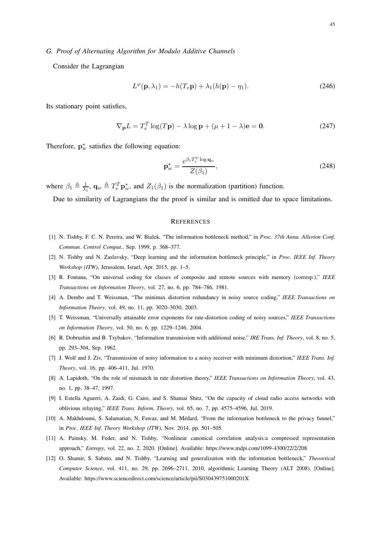Consider the Lagrangian

$$
L^{\varphi}(\mathbf{p}, \lambda_1) = -h(T_v \mathbf{p}) + \lambda_1 (h(\mathbf{p}) - \eta_1).
$$
 (246)

Its stationary point satisfies,

$$
\nabla_{\mathbf{p}} L = T_v^T \log(T\mathbf{p}) - \lambda \log \mathbf{p} + (\mu + 1 - \lambda)\mathbf{e} = \mathbf{0}.
$$
 (247)

Therefore,  $\mathbf{p}_w^*$  satisfies the following equation:

$$
\mathbf{p}_{w}^{*} = \frac{e^{\beta_{1}T_{v}^{T}\log\mathbf{q}_{w}}}{Z(\beta_{1})},\tag{248}
$$

where  $\beta_1 \triangleq \frac{1}{\lambda_1}$ ,  $\mathbf{q}_w \triangleq T_v^T \mathbf{p}_w^*$ , and  $Z_1(\beta_1)$  is the normalization (partition) function.

Due to similarity of Lagrangians the the proof is similar and is omitted due to space limitations.

#### **REFERENCES**

- [1] N. Tishby, F. C. N. Pereira, and W. Bialek, "The information bottleneck method," in *Proc. 37th Annu. Allerton Conf. Commun. Control Comput.*, Sep. 1999, p. 368–377.
- [2] N. Tishby and N. Zaslavsky, "Deep learning and the information bottleneck principle," in *Proc. IEEE Inf. Theory Workshop (ITW)*, Jerusalem, Israel, Apr. 2015, pp. 1–5.
- [3] R. Fontana, "On universal coding for classes of composite and remote sources with memory (corresp.)," *IEEE Transactions on Information Theory*, vol. 27, no. 6, pp. 784–786, 1981.
- [4] A. Dembo and T. Weissman, "The minimax distortion redundancy in noisy source coding," *IEEE Transactions on Information Theory*, vol. 49, no. 11, pp. 3020–3030, 2003.
- [5] T. Weissman, "Universally attainable error exponents for rate-distortion coding of noisy sources," *IEEE Transactions on Information Theory*, vol. 50, no. 6, pp. 1229–1246, 2004.
- [6] R. Dobrushin and B. Tsybakov, "Information transmission with additional noise," *IRE Trans. Inf. Theory*, vol. 8, no. 5, pp. 293–304, Sep. 1962.
- [7] J. Wolf and J. Ziv, "Transmission of noisy information to a noisy receiver with minimum distortion," *IEEE Trans. Inf. Theory*, vol. 16, pp. 406–411, Jul. 1970.
- [8] A. Lapidoth, "On the role of mismatch in rate distortion theory," *IEEE Transactions on Information Theory*, vol. 43, no. 1, pp. 38–47, 1997.
- [9] I. Estella Aguerri, A. Zaidi, G. Caire, and S. Shamai Shitz, "On the capacity of cloud radio access networks with oblivious relaying," *IEEE Trans. Inform. Theory*, vol. 65, no. 7, pp. 4575–4596, Jul. 2019.
- [10] A. Makhdoumi, S. Salamatian, N. Fawaz, and M. Médard, "From the information bottleneck to the privacy funnel," in *Proc. IEEE Inf. Theory Workshop (ITW)*, Nov. 2014, pp. 501–505.
- [11] A. Painsky, M. Feder, and N. Tishby, "Nonlinear canonical correlation analysis:a compressed representation approach," *Entropy*, vol. 22, no. 2, 2020. [Online]. Available: https://www.mdpi.com/1099-4300/22/2/208
- [12] O. Shamir, S. Sabato, and N. Tishby, "Learning and generalization with the information bottleneck," *Theoretical Computer Science*, vol. 411, no. 29, pp. 2696–2711, 2010, algorithmic Learning Theory (ALT 2008). [Online]. Available: https://www.sciencedirect.com/science/article/pii/S030439751000201X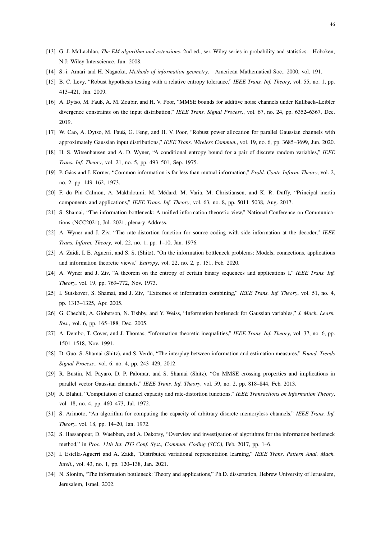- [13] G. J. McLachlan, *The EM algorithm and extensions*, 2nd ed., ser. Wiley series in probability and statistics. Hoboken, N.J: Wiley-Interscience, Jun. 2008.
- [14] S.-i. Amari and H. Nagaoka, *Methods of information geometry*. American Mathematical Soc., 2000, vol. 191.
- [15] B. C. Levy, "Robust hypothesis testing with a relative entropy tolerance," *IEEE Trans. Inf. Theory*, vol. 55, no. 1, pp. 413–421, Jan. 2009.
- [16] A. Dytso, M. Fauß, A. M. Zoubir, and H. V. Poor, "MMSE bounds for additive noise channels under Kullback–Leibler divergence constraints on the input distribution," *IEEE Trans. Signal Process.*, vol. 67, no. 24, pp. 6352–6367, Dec. 2019.
- [17] W. Cao, A. Dytso, M. Fauß, G. Feng, and H. V. Poor, "Robust power allocation for parallel Gaussian channels with approximately Gaussian input distributions," *IEEE Trans. Wireless Commun.*, vol. 19, no. 6, pp. 3685–3699, Jun. 2020.
- [18] H. S. Witsenhausen and A. D. Wyner, "A conditional entropy bound for a pair of discrete random variables," *IEEE Trans. Inf. Theory*, vol. 21, no. 5, pp. 493–501, Sep. 1975.
- [19] P. Gács and J. Körner, "Common information is far less than mutual information," *Probl. Contr. Inform. Theory*, vol. 2, no. 2, pp. 149–162, 1973.
- [20] F. du Pin Calmon, A. Makhdoumi, M. Médard, M. Varia, M. Christiansen, and K. R. Duffy, "Principal inertia components and applications," *IEEE Trans. Inf. Theory*, vol. 63, no. 8, pp. 5011–5038, Aug. 2017.
- [21] S. Shamai, "The information bottleneck: A unified information theoretic view," National Conference on Communications (NCC2021), Jul. 2021, plenary Address.
- [22] A. Wyner and J. Ziv, "The rate-distortion function for source coding with side information at the decoder," *IEEE Trans. Inform. Theory*, vol. 22, no. 1, pp. 1–10, Jan. 1976.
- [23] A. Zaidi, I. E. Aguerri, and S. S. (Shitz), "On the information bottleneck problems: Models, connections, applications and information theoretic views," *Entropy*, vol. 22, no. 2, p. 151, Feb. 2020.
- [24] A. Wyner and J. Ziv, "A theorem on the entropy of certain binary sequences and applications I," *IEEE Trans. Inf. Theory*, vol. 19, pp. 769–772, Nov. 1973.
- [25] I. Sutskover, S. Shamai, and J. Ziv, "Extremes of information combining," *IEEE Trans. Inf. Theory*, vol. 51, no. 4, pp. 1313–1325, Apr. 2005.
- [26] G. Chechik, A. Globerson, N. Tishby, and Y. Weiss, "Information bottleneck for Gaussian variables," *J. Mach. Learn. Res.*, vol. 6, pp. 165–188, Dec. 2005.
- [27] A. Dembo, T. Cover, and J. Thomas, "Information theoretic inequalities," *IEEE Trans. Inf. Theory*, vol. 37, no. 6, pp. 1501–1518, Nov. 1991.
- [28] D. Guo, S. Shamai (Shitz), and S. Verdú, "The interplay between information and estimation measures," *Found. Trends Signal Process.*, vol. 6, no. 4, pp. 243–429, 2012.
- [29] R. Bustin, M. Payaro, D. P. Palomar, and S. Shamai (Shitz), "On MMSE crossing properties and implications in parallel vector Gaussian channels," *IEEE Trans. Inf. Theory*, vol. 59, no. 2, pp. 818–844, Feb. 2013.
- [30] R. Blahut, "Computation of channel capacity and rate-distortion functions," *IEEE Transactions on Information Theory*, vol. 18, no. 4, pp. 460–473, Jul. 1972.
- [31] S. Arimoto, "An algorithm for computing the capacity of arbitrary discrete memoryless channels," *IEEE Trans. Inf. Theory*, vol. 18, pp. 14–20, Jan. 1972.
- [32] S. Hassanpour, D. Wuebben, and A. Dekorsy, "Overview and investigation of algorithms for the information bottleneck method," in *Proc. 11th Int. ITG Conf. Syst., Commun. Coding (SCC)*, Feb. 2017, pp. 1–6.
- [33] I. Estella-Aguerri and A. Zaidi, "Distributed variational representation learning," *IEEE Trans. Pattern Anal. Mach. Intell.*, vol. 43, no. 1, pp. 120–138, Jan. 2021.
- [34] N. Slonim, "The information bottleneck: Theory and applications," Ph.D. dissertation, Hebrew University of Jerusalem, Jerusalem, Israel, 2002.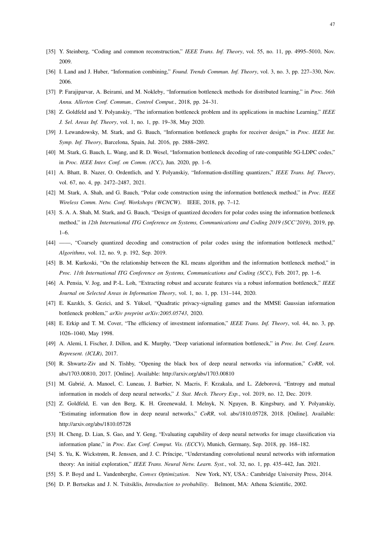- [35] Y. Steinberg, "Coding and common reconstruction," *IEEE Trans. Inf. Theory*, vol. 55, no. 11, pp. 4995–5010, Nov. 2009.
- [36] I. Land and J. Huber, "Information combining," *Found. Trends Commun. Inf. Theory*, vol. 3, no. 3, pp. 227–330, Nov. 2006.
- [37] P. Farajiparvar, A. Beirami, and M. Nokleby, "Information bottleneck methods for distributed learning," in *Proc. 56th Annu. Allerton Conf. Commun., Control Comput.*, 2018, pp. 24–31.
- [38] Z. Goldfeld and Y. Polyanskiy, "The information bottleneck problem and its applications in machine Learning," *IEEE J. Sel. Areas Inf. Theory*, vol. 1, no. 1, pp. 19–38, May 2020.
- [39] J. Lewandowsky, M. Stark, and G. Bauch, "Information bottleneck graphs for receiver design," in *Proc. IEEE Int. Symp. Inf. Theory*, Barcelona, Spain, Jul. 2016, pp. 2888–2892.
- [40] M. Stark, G. Bauch, L. Wang, and R. D. Wesel, "Information bottleneck decoding of rate-compatible 5G-LDPC codes," in *Proc. IEEE Inter. Conf. on Comm. (ICC)*, Jun. 2020, pp. 1–6.
- [41] A. Bhatt, B. Nazer, O. Ordentlich, and Y. Polyanskiy, "Information-distilling quantizers," *IEEE Trans. Inf. Theory*, vol. 67, no. 4, pp. 2472–2487, 2021.
- [42] M. Stark, A. Shah, and G. Bauch, "Polar code construction using the information bottleneck method," in *Proc. IEEE Wireless Comm. Netw. Conf. Workshops (WCNCW)*. IEEE, 2018, pp. 7–12.
- [43] S. A. A. Shah, M. Stark, and G. Bauch, "Design of quantized decoders for polar codes using the information bottleneck method," in *12th International ITG Conference on Systems, Communications and Coding 2019 (SCC'2019)*, 2019, pp. 1–6.
- [44] ——, "Coarsely quantized decoding and construction of polar codes using the information bottleneck method," *Algorithms*, vol. 12, no. 9, p. 192, Sep. 2019.
- [45] B. M. Kurkoski, "On the relationship between the KL means algorithm and the information bottleneck method," in *Proc. 11th International ITG Conference on Systems, Communications and Coding (SCC)*, Feb. 2017, pp. 1–6.
- [46] A. Pensia, V. Jog, and P.-L. Loh, "Extracting robust and accurate features via a robust information bottleneck," *IEEE Journal on Selected Areas in Information Theory*, vol. 1, no. 1, pp. 131–144, 2020.
- [47] E. Kazıklı, S. Gezici, and S. Yüksel, "Quadratic privacy-signaling games and the MMSE Gaussian information bottleneck problem," *arXiv preprint arXiv:2005.05743*, 2020.
- [48] E. Erkip and T. M. Cover, "The efficiency of investment information," *IEEE Trans. Inf. Theory*, vol. 44, no. 3, pp. 1026–1040, May 1998.
- [49] A. Alemi, I. Fischer, J. Dillon, and K. Murphy, "Deep variational information bottleneck," in *Proc. Int. Conf. Learn. Represent. (ICLR)*, 2017.
- [50] R. Shwartz-Ziv and N. Tishby, "Opening the black box of deep neural networks via information," *CoRR*, vol. abs/1703.00810, 2017. [Online]. Available: http://arxiv.org/abs/1703.00810
- [51] M. Gabrié, A. Manoel, C. Luneau, J. Barbier, N. Macris, F. Krzakala, and L. Zdeborová, "Entropy and mutual information in models of deep neural networks," *J. Stat. Mech. Theory Exp.*, vol. 2019, no. 12, Dec. 2019.
- [52] Z. Goldfeld, E. van den Berg, K. H. Greenewald, I. Melnyk, N. Nguyen, B. Kingsbury, and Y. Polyanskiy, "Estimating information flow in deep neural networks," *CoRR*, vol. abs/1810.05728, 2018. [Online]. Available: http://arxiv.org/abs/1810.05728
- [53] H. Cheng, D. Lian, S. Gao, and Y. Geng, "Evaluating capability of deep neural networks for image classification via information plane," in *Proc. Eur. Conf. Comput. Vis. (ECCV)*, Munich, Germany, Sep. 2018, pp. 168–182.
- [54] S. Yu, K. Wickstrøm, R. Jenssen, and J. C. Príncipe, "Understanding convolutional neural networks with information theory: An initial exploration," *IEEE Trans. Neural Netw. Learn. Syst.*, vol. 32, no. 1, pp. 435–442, Jan. 2021.
- [55] S. P. Boyd and L. Vandenberghe, *Convex Optimization*. New York, NY, USA.: Cambridge University Press, 2014.
- [56] D. P. Bertsekas and J. N. Tsitsiklis, *Introduction to probability*. Belmont, MA: Athena Scientific, 2002.